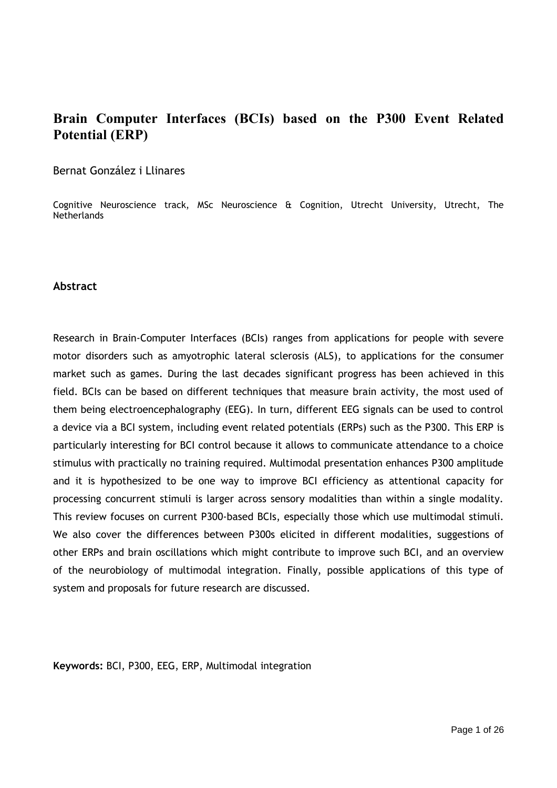# **Brain Computer Interfaces (BCIs) based on the P300 Event Related Potential (ERP)**

## Bernat González i Llinares

Cognitive Neuroscience track, MSc Neuroscience & Cognition, Utrecht University, Utrecht, The **Netherlands** 

#### **Abstract**

Research in Brain-Computer Interfaces (BCIs) ranges from applications for people with severe motor disorders such as amyotrophic lateral sclerosis (ALS), to applications for the consumer market such as games. During the last decades significant progress has been achieved in this field. BCIs can be based on different techniques that measure brain activity, the most used of them being electroencephalography (EEG). In turn, different EEG signals can be used to control a device via a BCI system, including event related potentials (ERPs) such as the P300. This ERP is particularly interesting for BCI control because it allows to communicate attendance to a choice stimulus with practically no training required. Multimodal presentation enhances P300 amplitude and it is hypothesized to be one way to improve BCI efficiency as attentional capacity for processing concurrent stimuli is larger across sensory modalities than within a single modality. This review focuses on current P300-based BCIs, especially those which use multimodal stimuli. We also cover the differences between P300s elicited in different modalities, suggestions of other ERPs and brain oscillations which might contribute to improve such BCI, and an overview of the neurobiology of multimodal integration. Finally, possible applications of this type of system and proposals for future research are discussed.

**Keywords:** BCI, P300, EEG, ERP, Multimodal integration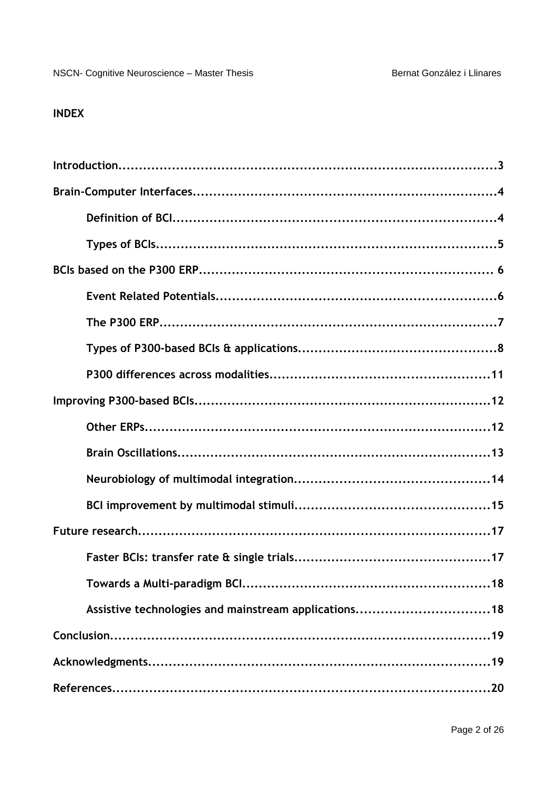# **INDEX**

| Assistive technologies and mainstream applications18 |
|------------------------------------------------------|
|                                                      |
|                                                      |
|                                                      |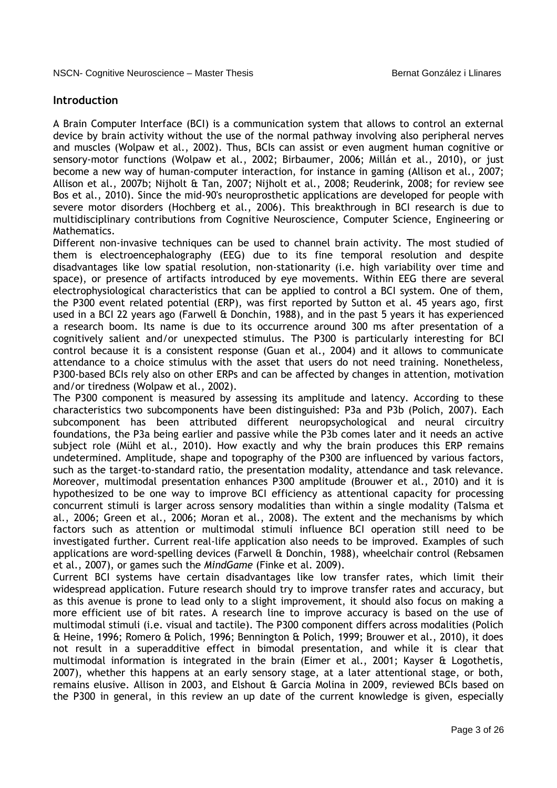## **Introduction**

A Brain Computer Interface (BCI) is a communication system that allows to control an external device by brain activity without the use of the normal pathway involving also peripheral nerves and muscles (Wolpaw et al., 2002). Thus, BCIs can assist or even augment human cognitive or sensory-motor functions (Wolpaw et al., 2002; Birbaumer, 2006; Millán et al., 2010), or just become a new way of human-computer interaction, for instance in gaming (Allison et al., 2007; Allison et al., 2007b; Nijholt & Tan, 2007; Nijholt et al., 2008; Reuderink, 2008; for review see Bos et al., 2010). Since the mid-90's neuroprosthetic applications are developed for people with severe motor disorders (Hochberg et al., 2006). This breakthrough in BCI research is due to multidisciplinary contributions from Cognitive Neuroscience, Computer Science, Engineering or Mathematics.

Different non-invasive techniques can be used to channel brain activity. The most studied of them is electroencephalography (EEG) due to its fine temporal resolution and despite disadvantages like low spatial resolution, non-stationarity (i.e. high variability over time and space), or presence of artifacts introduced by eye movements. Within EEG there are several electrophysiological characteristics that can be applied to control a BCI system. One of them, the P300 event related potential (ERP), was first reported by Sutton et al. 45 years ago, first used in a BCI 22 years ago (Farwell & Donchin, 1988), and in the past 5 years it has experienced a research boom. Its name is due to its occurrence around 300 ms after presentation of a cognitively salient and/or unexpected stimulus. The P300 is particularly interesting for BCI control because it is a consistent response (Guan et al., 2004) and it allows to communicate attendance to a choice stimulus with the asset that users do not need training. Nonetheless, P300-based BCIs rely also on other ERPs and can be affected by changes in attention, motivation and/or tiredness (Wolpaw et al., 2002).

The P300 component is measured by assessing its amplitude and latency. According to these characteristics two subcomponents have been distinguished: P3a and P3b (Polich, 2007). Each subcomponent has been attributed different neuropsychological and neural circuitry foundations, the P3a being earlier and passive while the P3b comes later and it needs an active subject role (Mühl et al., 2010). How exactly and why the brain produces this ERP remains undetermined. Amplitude, shape and topography of the P300 are influenced by various factors, such as the target-to-standard ratio, the presentation modality, attendance and task relevance. Moreover, multimodal presentation enhances P300 amplitude (Brouwer et al., 2010) and it is hypothesized to be one way to improve BCI efficiency as attentional capacity for processing concurrent stimuli is larger across sensory modalities than within a single modality (Talsma et al., 2006; Green et al., 2006; Moran et al., 2008). The extent and the mechanisms by which factors such as attention or multimodal stimuli influence BCI operation still need to be investigated further. Current real-life application also needs to be improved. Examples of such applications are word-spelling devices (Farwell & Donchin, 1988), wheelchair control (Rebsamen et al., 2007), or games such the *MindGame* (Finke et al. 2009).

Current BCI systems have certain disadvantages like low transfer rates, which limit their widespread application. Future research should try to improve transfer rates and accuracy, but as this avenue is prone to lead only to a slight improvement, it should also focus on making a more efficient use of bit rates. A research line to improve accuracy is based on the use of multimodal stimuli (i.e. visual and tactile). The P300 component differs across modalities (Polich & Heine, 1996; Romero & Polich, 1996; Bennington & Polich, 1999; Brouwer et al., 2010), it does not result in a superadditive effect in bimodal presentation, and while it is clear that multimodal information is integrated in the brain (Eimer et al., 2001; Kayser & Logothetis, 2007), whether this happens at an early sensory stage, at a later attentional stage, or both, remains elusive. Allison in 2003, and Elshout & Garcia Molina in 2009, reviewed BCIs based on the P300 in general, in this review an up date of the current knowledge is given, especially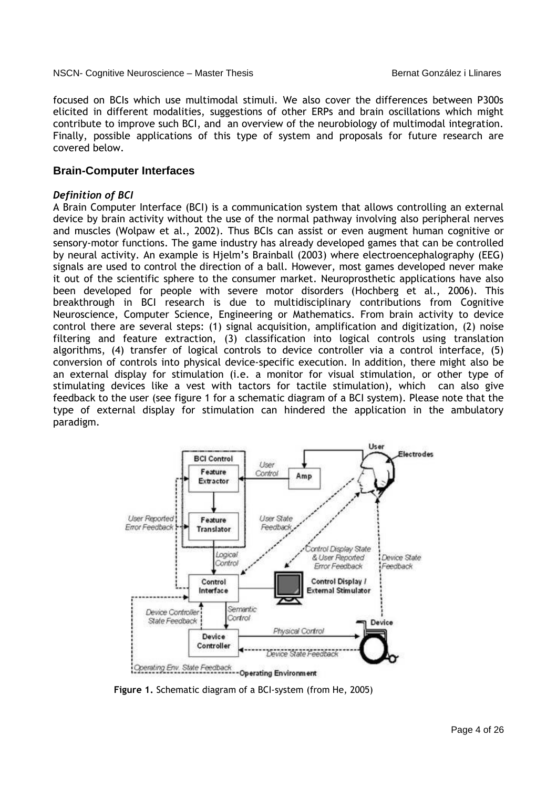focused on BCIs which use multimodal stimuli. We also cover the differences between P300s elicited in different modalities, suggestions of other ERPs and brain oscillations which might contribute to improve such BCI, and an overview of the neurobiology of multimodal integration. Finally, possible applications of this type of system and proposals for future research are covered below.

## **Brain-Computer Interfaces**

## *Definition of BCI*

A Brain Computer Interface (BCI) is a communication system that allows controlling an external device by brain activity without the use of the normal pathway involving also peripheral nerves and muscles (Wolpaw et al., 2002). Thus BCIs can assist or even augment human cognitive or sensory-motor functions. The game industry has already developed games that can be controlled by neural activity. An example is Hjelm's Brainball (2003) where electroencephalography (EEG) signals are used to control the direction of a ball. However, most games developed never make it out of the scientific sphere to the consumer market. Neuroprosthetic applications have also been developed for people with severe motor disorders (Hochberg et al., 2006). This breakthrough in BCI research is due to multidisciplinary contributions from Cognitive Neuroscience, Computer Science, Engineering or Mathematics. From brain activity to device control there are several steps: (1) signal acquisition, amplification and digitization, (2) noise filtering and feature extraction, (3) classification into logical controls using translation algorithms, (4) transfer of logical controls to device controller via a control interface, (5) conversion of controls into physical device-specific execution. In addition, there might also be an external display for stimulation (i.e. a monitor for visual stimulation, or other type of stimulating devices like a vest with tactors for tactile stimulation), which can also give feedback to the user (see figure 1 for a schematic diagram of a BCI system). Please note that the type of external display for stimulation can hindered the application in the ambulatory paradigm.



**Figure 1.** Schematic diagram of a BCI-system (from He, 2005)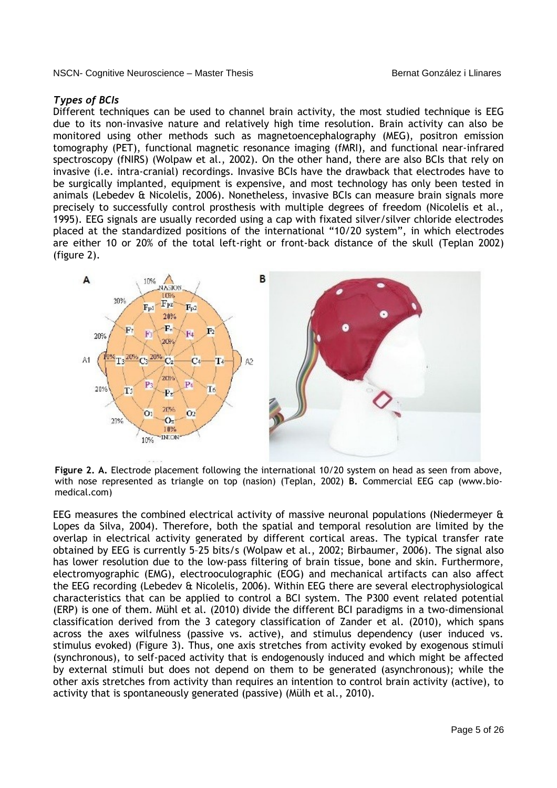## *Types of BCIs*

Different techniques can be used to channel brain activity, the most studied technique is EEG due to its non-invasive nature and relatively high time resolution. Brain activity can also be monitored using other methods such as magnetoencephalography (MEG), positron emission tomography (PET), functional magnetic resonance imaging (fMRI), and functional near-infrared spectroscopy (fNIRS) (Wolpaw et al., 2002). On the other hand, there are also BCIs that rely on invasive (i.e. intra-cranial) recordings. Invasive BCIs have the drawback that electrodes have to be surgically implanted, equipment is expensive, and most technology has only been tested in animals (Lebedev & Nicolelis, 2006). Nonetheless, invasive BCIs can measure brain signals more precisely to successfully control prosthesis with multiple degrees of freedom (Nicolelis et al., 1995). EEG signals are usually recorded using a cap with fixated silver/silver chloride electrodes placed at the standardized positions of the international "10/20 system", in which electrodes are either 10 or 20% of the total left-right or front-back distance of the skull (Teplan 2002) (figure 2).



**Figure 2. A.** Electrode placement following the international 10/20 system on head as seen from above, with nose represented as triangle on top (nasion) (Teplan, 2002) **B.** Commercial EEG cap (www.biomedical.com)

EEG measures the combined electrical activity of massive neuronal populations (Niedermeyer & Lopes da Silva, 2004). Therefore, both the spatial and temporal resolution are limited by the overlap in electrical activity generated by different cortical areas. The typical transfer rate obtained by EEG is currently 5–25 bits/s (Wolpaw et al., 2002; Birbaumer, 2006). The signal also has lower resolution due to the low-pass filtering of brain tissue, bone and skin. Furthermore, electromyographic (EMG), electrooculographic (EOG) and mechanical artifacts can also affect the EEG recording (Lebedev & Nicolelis, 2006). Within EEG there are several electrophysiological characteristics that can be applied to control a BCI system. The P300 event related potential (ERP) is one of them. Mühl et al. (2010) divide the different BCI paradigms in a two-dimensional classification derived from the 3 category classification of Zander et al. (2010), which spans across the axes wilfulness (passive vs. active), and stimulus dependency (user induced vs. stimulus evoked) (Figure 3). Thus, one axis stretches from activity evoked by exogenous stimuli (synchronous), to self-paced activity that is endogenously induced and which might be affected by external stimuli but does not depend on them to be generated (asynchronous); while the other axis stretches from activity than requires an intention to control brain activity (active), to activity that is spontaneously generated (passive) (Mülh et al., 2010).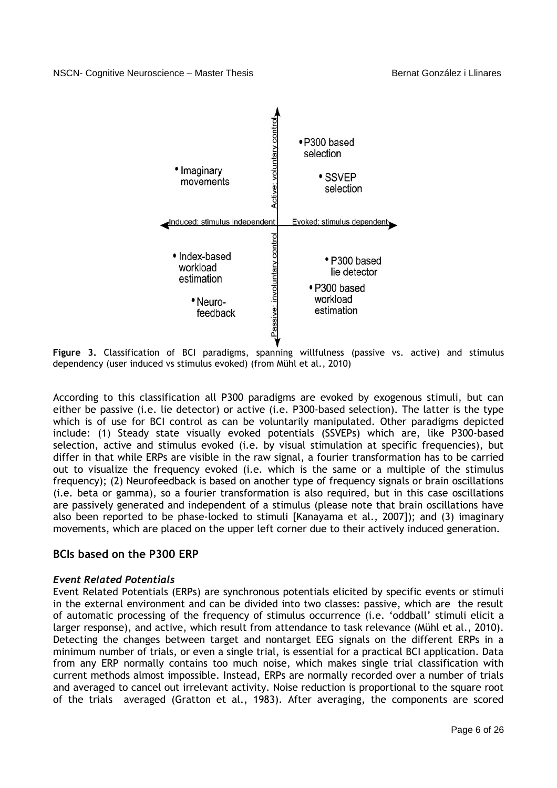

**Figure 3.** Classification of BCI paradigms, spanning willfulness (passive vs. active) and stimulus dependency (user induced vs stimulus evoked) (from Mühl et al., 2010)

According to this classification all P300 paradigms are evoked by exogenous stimuli, but can either be passive (i.e. lie detector) or active (i.e. P300-based selection). The latter is the type which is of use for BCI control as can be voluntarily manipulated. Other paradigms depicted include: (1) Steady state visually evoked potentials (SSVEPs) which are, like P300-based selection, active and stimulus evoked (i.e. by visual stimulation at specific frequencies), but differ in that while ERPs are visible in the raw signal, a fourier transformation has to be carried out to visualize the frequency evoked (i.e. which is the same or a multiple of the stimulus frequency); (2) Neurofeedback is based on another type of frequency signals or brain oscillations (i.e. beta or gamma), so a fourier transformation is also required, but in this case oscillations are passively generated and independent of a stimulus (please note that brain oscillations have also been reported to be phase-locked to stimuli [Kanayama et al., 2007]); and (3) imaginary movements, which are placed on the upper left corner due to their actively induced generation.

## **BCIs based on the P300 ERP**

## *Event Related Potentials*

Event Related Potentials (ERPs) are synchronous potentials elicited by specific events or stimuli in the external environment and can be divided into two classes: passive, which are the result of automatic processing of the frequency of stimulus occurrence (i.e. 'oddball' stimuli elicit a larger response), and active, which result from attendance to task relevance (Mühl et al., 2010). Detecting the changes between target and nontarget EEG signals on the different ERPs in a minimum number of trials, or even a single trial, is essential for a practical BCI application. Data from any ERP normally contains too much noise, which makes single trial classification with current methods almost impossible. Instead, ERPs are normally recorded over a number of trials and averaged to cancel out irrelevant activity. Noise reduction is proportional to the square root of the trials averaged (Gratton et al., 1983). After averaging, the components are scored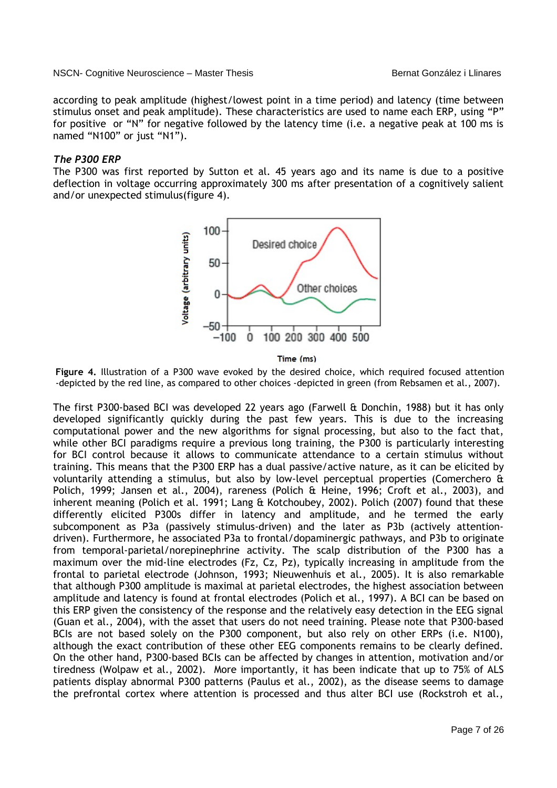according to peak amplitude (highest/lowest point in a time period) and latency (time between stimulus onset and peak amplitude). These characteristics are used to name each ERP, using "P" for positive or "N" for negative followed by the latency time (i.e. a negative peak at 100 ms is named "N100" or just "N1").

## *The P300 ERP*

The P300 was first reported by Sutton et al. 45 years ago and its name is due to a positive deflection in voltage occurring approximately 300 ms after presentation of a cognitively salient and/or unexpected stimulus(figure 4).



Time (ms)

**Figure 4.** Illustration of a P300 wave evoked by the desired choice, which required focused attention -depicted by the red line, as compared to other choices -depicted in green (from Rebsamen et al., 2007).

The first P300-based BCI was developed 22 years ago (Farwell & Donchin, 1988) but it has only developed significantly quickly during the past few years. This is due to the increasing computational power and the new algorithms for signal processing, but also to the fact that, while other BCI paradigms require a previous long training, the P300 is particularly interesting for BCI control because it allows to communicate attendance to a certain stimulus without training. This means that the P300 ERP has a dual passive/active nature, as it can be elicited by voluntarily attending a stimulus, but also by low-level perceptual properties (Comerchero & Polich, 1999; Jansen et al., 2004), rareness (Polich & Heine, 1996; Croft et al., 2003), and inherent meaning (Polich et al. 1991; Lang & Kotchoubey, 2002). Polich (2007) found that these differently elicited P300s differ in latency and amplitude, and he termed the early subcomponent as P3a (passively stimulus-driven) and the later as P3b (actively attentiondriven). Furthermore, he associated P3a to frontal/dopaminergic pathways, and P3b to originate from temporal-parietal/norepinephrine activity. The scalp distribution of the P300 has a maximum over the mid-line electrodes (Fz, Cz, Pz), typically increasing in amplitude from the frontal to parietal electrode (Johnson, 1993; Nieuwenhuis et al., 2005). It is also remarkable that although P300 amplitude is maximal at parietal electrodes, the highest association between amplitude and latency is found at frontal electrodes (Polich et al., 1997). A BCI can be based on this ERP given the consistency of the response and the relatively easy detection in the EEG signal (Guan et al., 2004), with the asset that users do not need training. Please note that P300-based BCIs are not based solely on the P300 component, but also rely on other ERPs (i.e. N100), although the exact contribution of these other EEG components remains to be clearly defined. On the other hand, P300-based BCIs can be affected by changes in attention, motivation and/or tiredness (Wolpaw et al., 2002). More importantly, it has been indicate that up to 75% of ALS patients display abnormal P300 patterns (Paulus et al., 2002), as the disease seems to damage the prefrontal cortex where attention is processed and thus alter BCI use (Rockstroh et al.,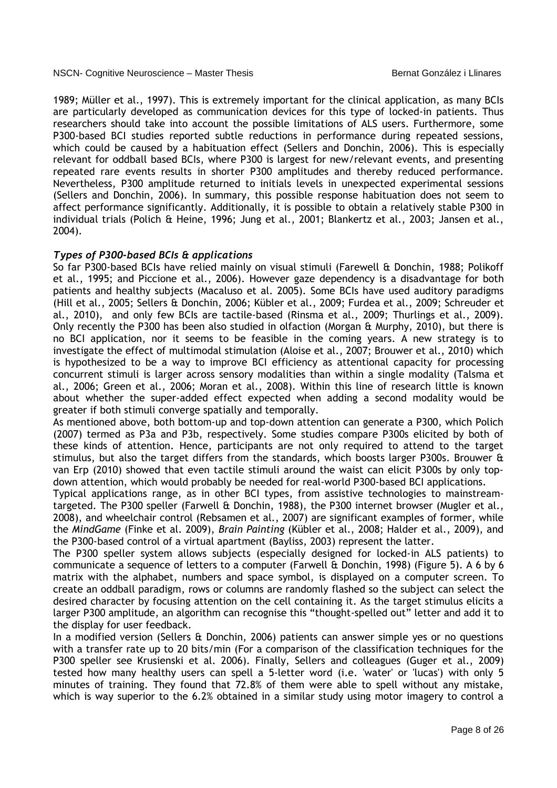1989; Müller et al., 1997). This is extremely important for the clinical application, as many BCIs are particularly developed as communication devices for this type of locked-in patients. Thus researchers should take into account the possible limitations of ALS users. Furthermore, some P300-based BCI studies reported subtle reductions in performance during repeated sessions, which could be caused by a habituation effect (Sellers and Donchin, 2006). This is especially relevant for oddball based BCIs, where P300 is largest for new/relevant events, and presenting repeated rare events results in shorter P300 amplitudes and thereby reduced performance. Nevertheless, P300 amplitude returned to initials levels in unexpected experimental sessions (Sellers and Donchin, 2006). In summary, this possible response habituation does not seem to affect performance significantly. Additionally, it is possible to obtain a relatively stable P300 in individual trials (Polich & Heine, 1996; Jung et al., 2001; Blankertz et al., 2003; Jansen et al., 2004).

#### *Types of P300-based BCIs & applications*

So far P300-based BCIs have relied mainly on visual stimuli (Farewell & Donchin, 1988; Polikoff et al., 1995; and Piccione et al., 2006). However gaze dependency is a disadvantage for both patients and healthy subjects (Macaluso et al. 2005). Some BCIs have used auditory paradigms (Hill et al., 2005; Sellers & Donchin, 2006; Kübler et al., 2009; Furdea et al., 2009; Schreuder et al., 2010), and only few BCIs are tactile-based (Rinsma et al., 2009; Thurlings et al., 2009). Only recently the P300 has been also studied in olfaction (Morgan & Murphy, 2010), but there is no BCI application, nor it seems to be feasible in the coming years. A new strategy is to investigate the effect of multimodal stimulation (Aloise et al., 2007; Brouwer et al., 2010) which is hypothesized to be a way to improve BCI efficiency as attentional capacity for processing concurrent stimuli is larger across sensory modalities than within a single modality (Talsma et al., 2006; Green et al., 2006; Moran et al., 2008). Within this line of research little is known about whether the super-added effect expected when adding a second modality would be greater if both stimuli converge spatially and temporally.

As mentioned above, both bottom-up and top-down attention can generate a P300, which Polich (2007) termed as P3a and P3b, respectively. Some studies compare P300s elicited by both of these kinds of attention. Hence, participants are not only required to attend to the target stimulus, but also the target differs from the standards, which boosts larger P300s. Brouwer & van Erp (2010) showed that even tactile stimuli around the waist can elicit P300s by only topdown attention, which would probably be needed for real-world P300-based BCI applications.

Typical applications range, as in other BCI types, from assistive technologies to mainstreamtargeted. The P300 speller (Farwell & Donchin, 1988), the P300 internet browser (Mugler et al., 2008), and wheelchair control (Rebsamen et al., 2007) are significant examples of former, while the *MindGame* (Finke et al. 2009), *Brain Painting* (Kübler et al., 2008; Halder et al., 2009), and the P300-based control of a virtual apartment (Bayliss, 2003) represent the latter.

The P300 speller system allows subjects (especially designed for locked-in ALS patients) to communicate a sequence of letters to a computer (Farwell & Donchin, 1998) (Figure 5). A 6 by 6 matrix with the alphabet, numbers and space symbol, is displayed on a computer screen. To create an oddball paradigm, rows or columns are randomly flashed so the subject can select the desired character by focusing attention on the cell containing it. As the target stimulus elicits a larger P300 amplitude, an algorithm can recognise this "thought-spelled out" letter and add it to the display for user feedback.

In a modified version (Sellers & Donchin, 2006) patients can answer simple yes or no questions with a transfer rate up to 20 bits/min (For a comparison of the classification techniques for the P300 speller see Krusienski et al. 2006). Finally, Sellers and colleagues (Guger et al., 2009) tested how many healthy users can spell a 5-letter word (i.e. 'water' or 'lucas') with only 5 minutes of training. They found that 72.8% of them were able to spell without any mistake, which is way superior to the 6.2% obtained in a similar study using motor imagery to control a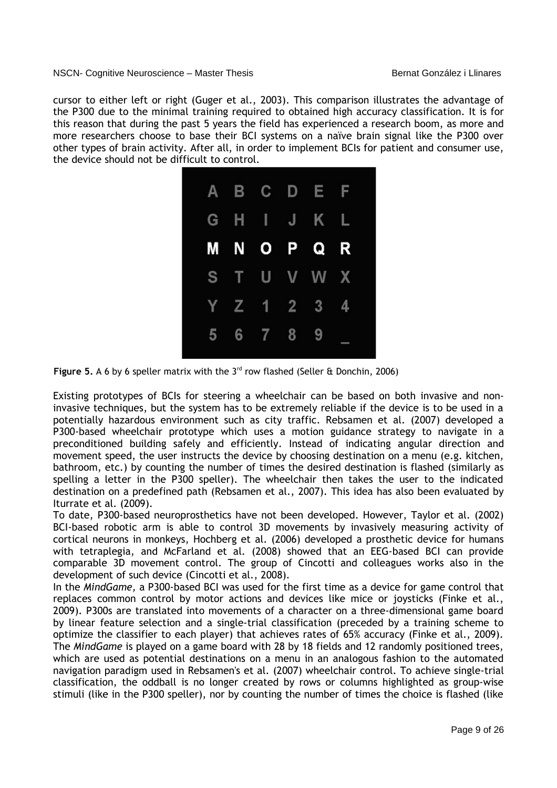cursor to either left or right (Guger et al., 2003). This comparison illustrates the advantage of the P300 due to the minimal training required to obtained high accuracy classification. It is for this reason that during the past 5 years the field has experienced a research boom, as more and more researchers choose to base their BCI systems on a naïve brain signal like the P300 over other types of brain activity. After all, in order to implement BCIs for patient and consumer use, the device should not be difficult to control.



Figure 5. A 6 by 6 speller matrix with the 3<sup>rd</sup> row flashed (Seller & Donchin, 2006)

Existing prototypes of BCIs for steering a wheelchair can be based on both invasive and noninvasive techniques, but the system has to be extremely reliable if the device is to be used in a potentially hazardous environment such as city traffic. Rebsamen et al. (2007) developed a P300-based wheelchair prototype which uses a motion guidance strategy to navigate in a preconditioned building safely and efficiently. Instead of indicating angular direction and movement speed, the user instructs the device by choosing destination on a menu (e.g. kitchen, bathroom, etc.) by counting the number of times the desired destination is flashed (similarly as spelling a letter in the P300 speller). The wheelchair then takes the user to the indicated destination on a predefined path (Rebsamen et al., 2007). This idea has also been evaluated by Iturrate et al. (2009).

To date, P300-based neuroprosthetics have not been developed. However, Taylor et al. (2002) BCI-based robotic arm is able to control 3D movements by invasively measuring activity of cortical neurons in monkeys, Hochberg et al. (2006) developed a prosthetic device for humans with tetraplegia, and McFarland et al. (2008) showed that an EEG-based BCI can provide comparable 3D movement control. The group of Cincotti and colleagues works also in the development of such device (Cincotti et al., 2008).

In the *MindGame,* a P300-based BCI was used for the first time as a device for game control that replaces common control by motor actions and devices like mice or joysticks (Finke et al., 2009). P300s are translated into movements of a character on a three-dimensional game board by linear feature selection and a single-trial classification (preceded by a training scheme to optimize the classifier to each player) that achieves rates of 65% accuracy (Finke et al., 2009). The *MindGame* is played on a game board with 28 by 18 fields and 12 randomly positioned trees, which are used as potential destinations on a menu in an analogous fashion to the automated navigation paradigm used in Rebsamen's et al. (2007) wheelchair control. To achieve single-trial classification, the oddball is no longer created by rows or columns highlighted as group-wise stimuli (like in the P300 speller), nor by counting the number of times the choice is flashed (like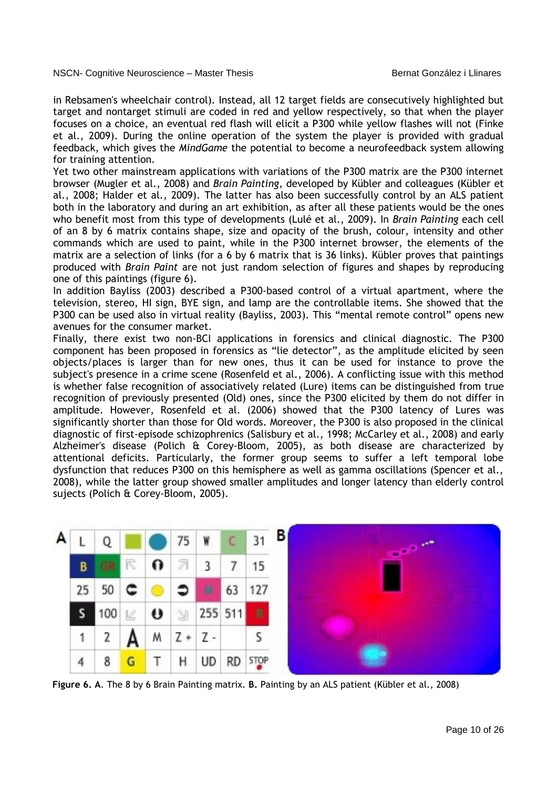in Rebsamen's wheelchair control). Instead, all 12 target fields are consecutively highlighted but target and nontarget stimuli are coded in red and yellow respectively, so that when the player focuses on a choice, an eventual red flash will elicit a P300 while yellow flashes will not (Finke et al., 2009). During the online operation of the system the player is provided with gradual feedback, which gives the *MindGame* the potential to become a neurofeedback system allowing for training attention.

Yet two other mainstream applications with variations of the P300 matrix are the P300 internet browser (Mugler et al., 2008) and *Brain Painting,* developed by Kübler and colleagues (Kübler et al., 2008; Halder et al., 2009). The latter has also been successfully control by an ALS patient both in the laboratory and during an art exhibition, as after all these patients would be the ones who benefit most from this type of developments (Lulé et al., 2009). In *Brain Painting* each cell of an 8 by 6 matrix contains shape, size and opacity of the brush, colour, intensity and other commands which are used to paint, while in the P300 internet browser, the elements of the matrix are a selection of links (for a 6 by 6 matrix that is 36 links). Kübler proves that paintings produced with *Brain Paint* are not just random selection of figures and shapes by reproducing one of this paintings (figure 6).

In addition Bayliss (2003) described a P300-based control of a virtual apartment, where the television, stereo, HI sign, BYE sign, and lamp are the controllable items. She showed that the P300 can be used also in virtual reality (Bayliss, 2003). This "mental remote control" opens new avenues for the consumer market.

Finally, there exist two non-BCI applications in forensics and clinical diagnostic. The P300 component has been proposed in forensics as "lie detector", as the amplitude elicited by seen objects/places is larger than for new ones, thus it can be used for instance to prove the subject's presence in a crime scene (Rosenfeld et al., 2006). A conflicting issue with this method is whether false recognition of associatively related (Lure) items can be distinguished from true recognition of previously presented (Old) ones, since the P300 elicited by them do not differ in amplitude. However, Rosenfeld et al. (2006) showed that the P300 latency of Lures was significantly shorter than those for Old words. Moreover, the P300 is also proposed in the clinical diagnostic of first-episode schizophrenics (Salisbury et al., 1998; McCarley et al., 2008) and early Alzheimer's disease (Polich & Corey-Bloom, 2005), as both disease are characterized by attentional deficits. Particularly, the former group seems to suffer a left temporal lobe dysfunction that reduces P300 on this hemisphere as well as gamma oscillations (Spencer et al., 2008), while the latter group showed smaller amplitudes and longer latency than elderly control sujects (Polich & Corey-Bloom, 2005).



**Figure 6. A**. The 8 by 6 Brain Painting matrix. **B.** Painting by an ALS patient (Kübler et al., 2008)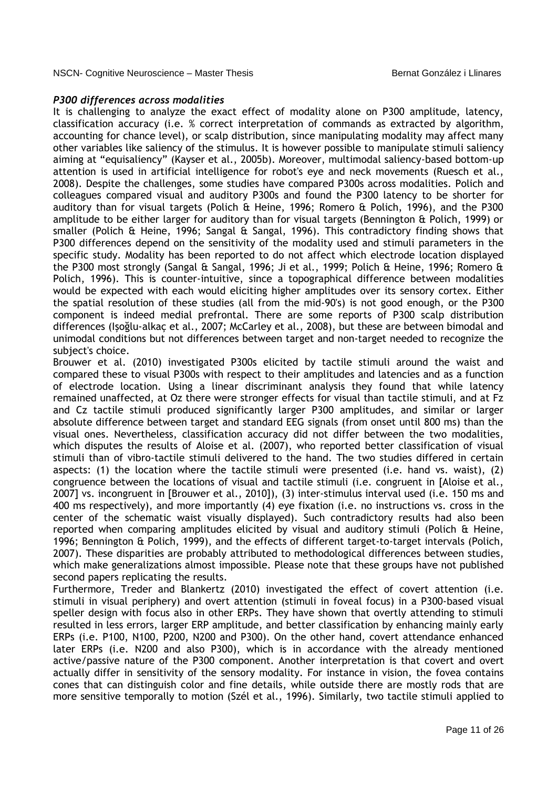## *P300 differences across modalities*

It is challenging to analyze the exact effect of modality alone on P300 amplitude, latency, classification accuracy (i.e. % correct interpretation of commands as extracted by algorithm, accounting for chance level), or scalp distribution, since manipulating modality may affect many other variables like saliency of the stimulus. It is however possible to manipulate stimuli saliency aiming at "equisaliency" (Kayser et al., 2005b). Moreover, multimodal saliency-based bottom-up attention is used in artificial intelligence for robot's eye and neck movements (Ruesch et al., 2008). Despite the challenges, some studies have compared P300s across modalities. Polich and colleagues compared visual and auditory P300s and found the P300 latency to be shorter for auditory than for visual targets (Polich & Heine, 1996; Romero & Polich, 1996), and the P300 amplitude to be either larger for auditory than for visual targets (Bennington & Polich, 1999) or smaller (Polich & Heine, 1996; Sangal & Sangal, 1996). This contradictory finding shows that P300 differences depend on the sensitivity of the modality used and stimuli parameters in the specific study. Modality has been reported to do not affect which electrode location displayed the P300 most strongly (Sangal & Sangal, 1996; Ji et al., 1999; Polich & Heine, 1996; Romero & Polich, 1996). This is counter-intuitive, since a topographical difference between modalities would be expected with each would eliciting higher amplitudes over its sensory cortex. Either the spatial resolution of these studies (all from the mid-90's) is not good enough, or the P300 component is indeed medial prefrontal. There are some reports of P300 scalp distribution differences (Işoğlu-alkaç et al., 2007; McCarley et al., 2008), but these are between bimodal and unimodal conditions but not differences between target and non-target needed to recognize the subject's choice.

Brouwer et al. (2010) investigated P300s elicited by tactile stimuli around the waist and compared these to visual P300s with respect to their amplitudes and latencies and as a function of electrode location. Using a linear discriminant analysis they found that while latency remained unaffected, at Oz there were stronger effects for visual than tactile stimuli, and at Fz and Cz tactile stimuli produced significantly larger P300 amplitudes, and similar or larger absolute difference between target and standard EEG signals (from onset until 800 ms) than the visual ones. Nevertheless, classification accuracy did not differ between the two modalities, which disputes the results of Aloise et al. (2007), who reported better classification of visual stimuli than of vibro-tactile stimuli delivered to the hand. The two studies differed in certain aspects: (1) the location where the tactile stimuli were presented (i.e. hand vs. waist), (2) congruence between the locations of visual and tactile stimuli (i.e. congruent in [Aloise et al., 2007] vs. incongruent in [Brouwer et al., 2010]), (3) inter-stimulus interval used (i.e. 150 ms and 400 ms respectively), and more importantly (4) eye fixation (i.e. no instructions vs. cross in the center of the schematic waist visually displayed). Such contradictory results had also been reported when comparing amplitudes elicited by visual and auditory stimuli (Polich & Heine, 1996; Bennington & Polich, 1999), and the effects of different target-to-target intervals (Polich, 2007). These disparities are probably attributed to methodological differences between studies, which make generalizations almost impossible. Please note that these groups have not published second papers replicating the results.

Furthermore, Treder and Blankertz (2010) investigated the effect of covert attention (i.e. stimuli in visual periphery) and overt attention (stimuli in foveal focus) in a P300-based visual speller design with focus also in other ERPs. They have shown that overtly attending to stimuli resulted in less errors, larger ERP amplitude, and better classification by enhancing mainly early ERPs (i.e. P100, N100, P200, N200 and P300). On the other hand, covert attendance enhanced later ERPs (i.e. N200 and also P300), which is in accordance with the already mentioned active/passive nature of the P300 component. Another interpretation is that covert and overt actually differ in sensitivity of the sensory modality. For instance in vision, the fovea contains cones that can distinguish color and fine details, while outside there are mostly rods that are more sensitive temporally to motion (Szél et al., 1996). Similarly, two tactile stimuli applied to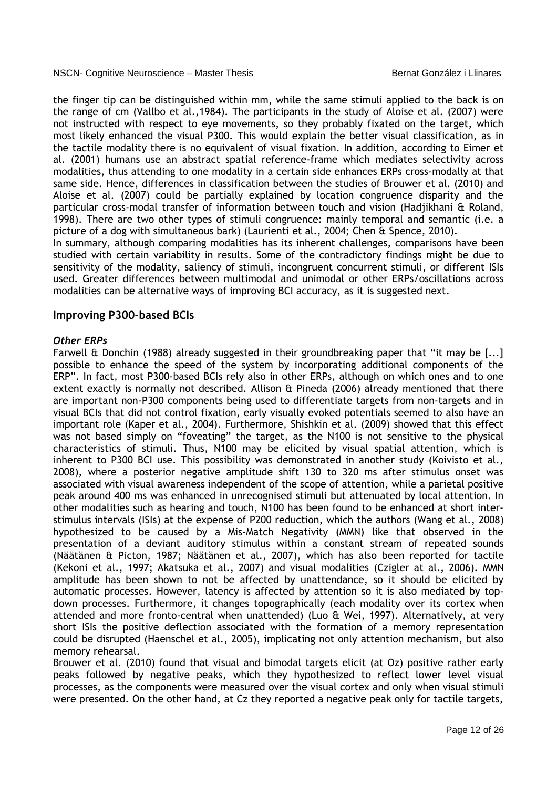the finger tip can be distinguished within mm, while the same stimuli applied to the back is on the range of cm (Vallbo et al.,1984). The participants in the study of Aloise et al. (2007) were not instructed with respect to eye movements, so they probably fixated on the target, which most likely enhanced the visual P300. This would explain the better visual classification, as in the tactile modality there is no equivalent of visual fixation. In addition, according to Eimer et al. (2001) humans use an abstract spatial reference-frame which mediates selectivity across modalities, thus attending to one modality in a certain side enhances ERPs cross-modally at that same side. Hence, differences in classification between the studies of Brouwer et al. (2010) and Aloise et al. (2007) could be partially explained by location congruence disparity and the particular cross-modal transfer of information between touch and vision (Hadjikhani & Roland, 1998). There are two other types of stimuli congruence: mainly temporal and semantic (i.e. a picture of a dog with simultaneous bark) (Laurienti et al., 2004; Chen & Spence, 2010).

In summary, although comparing modalities has its inherent challenges, comparisons have been studied with certain variability in results. Some of the contradictory findings might be due to sensitivity of the modality, saliency of stimuli, incongruent concurrent stimuli, or different ISIs used. Greater differences between multimodal and unimodal or other ERPs/oscillations across modalities can be alternative ways of improving BCI accuracy, as it is suggested next.

## **Improving P300-based BCIs**

## *Other ERPs*

Farwell & Donchin (1988) already suggested in their groundbreaking paper that "it may be [...] possible to enhance the speed of the system by incorporating additional components of the ERP". In fact, most P300-based BCIs rely also in other ERPs, although on which ones and to one extent exactly is normally not described. Allison & Pineda (2006) already mentioned that there are important non-P300 components being used to differentiate targets from non-targets and in visual BCIs that did not control fixation, early visually evoked potentials seemed to also have an important role (Kaper et al., 2004). Furthermore, Shishkin et al. (2009) showed that this effect was not based simply on "foveating" the target, as the N100 is not sensitive to the physical characteristics of stimuli. Thus, N100 may be elicited by visual spatial attention, which is inherent to P300 BCI use. This possibility was demonstrated in another study (Koivisto et al., 2008), where a posterior negative amplitude shift 130 to 320 ms after stimulus onset was associated with visual awareness independent of the scope of attention, while a parietal positive peak around 400 ms was enhanced in unrecognised stimuli but attenuated by local attention. In other modalities such as hearing and touch, N100 has been found to be enhanced at short interstimulus intervals (ISIs) at the expense of P200 reduction, which the authors (Wang et al., 2008) hypothesized to be caused by a Mis-Match Negativity (MMN) like that observed in the presentation of a deviant auditory stimulus within a constant stream of repeated sounds (Näätänen & Picton, 1987; Näätänen et al., 2007), which has also been reported for tactile (Kekoni et al., 1997; Akatsuka et al., 2007) and visual modalities (Czigler at al., 2006). MMN amplitude has been shown to not be affected by unattendance, so it should be elicited by automatic processes. However, latency is affected by attention so it is also mediated by topdown processes. Furthermore, it changes topographically (each modality over its cortex when attended and more fronto-central when unattended) (Luo & Wei, 1997). Alternatively, at very short ISIs the positive deflection associated with the formation of a memory representation could be disrupted (Haenschel et al., 2005), implicating not only attention mechanism, but also memory rehearsal.

Brouwer et al. (2010) found that visual and bimodal targets elicit (at Oz) positive rather early peaks followed by negative peaks, which they hypothesized to reflect lower level visual processes, as the components were measured over the visual cortex and only when visual stimuli were presented. On the other hand, at Cz they reported a negative peak only for tactile targets,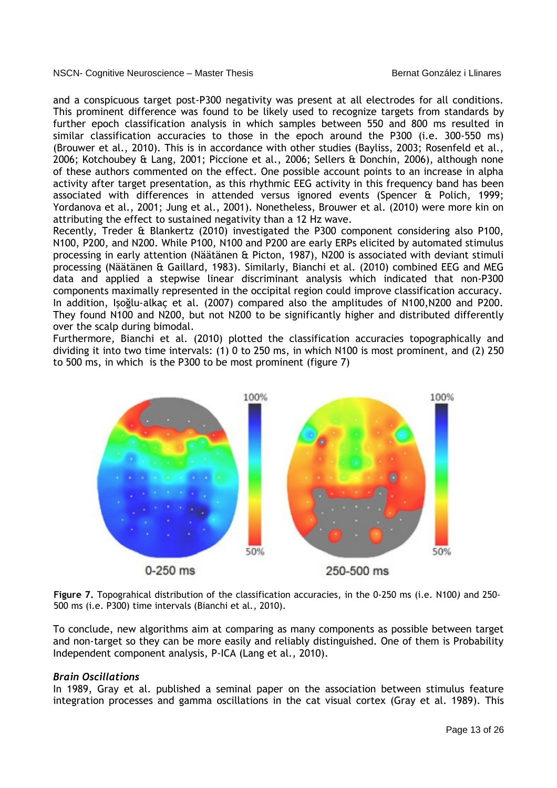and a conspicuous target post-P300 negativity was present at all electrodes for all conditions. This prominent difference was found to be likely used to recognize targets from standards by further epoch classification analysis in which samples between 550 and 800 ms resulted in similar classification accuracies to those in the epoch around the P300 (i.e. 300-550 ms) (Brouwer et al., 2010). This is in accordance with other studies (Bayliss, 2003; Rosenfeld et al., 2006; Kotchoubey & Lang, 2001; Piccione et al., 2006; Sellers & Donchin, 2006), although none of these authors commented on the effect. One possible account points to an increase in alpha activity after target presentation, as this rhythmic EEG activity in this frequency band has been associated with differences in attended versus ignored events (Spencer & Polich, 1999; Yordanova et al., 2001; Jung et al., 2001). Nonetheless, Brouwer et al. (2010) were more kin on attributing the effect to sustained negativity than a 12 Hz wave.

Recently, Treder & Blankertz (2010) investigated the P300 component considering also P100, N100, P200, and N200. While P100, N100 and P200 are early ERPs elicited by automated stimulus processing in early attention (Näätänen & Picton, 1987), N200 is associated with deviant stimuli processing (Näätänen & Gaillard, 1983). Similarly, Bianchi et al. (2010) combined EEG and MEG data and applied a stepwise linear discriminant analysis which indicated that non-P300 components maximally represented in the occipital region could improve classification accuracy. In addition, Işoğlu-alkaç et al. (2007) compared also the amplitudes of N100,N200 and P200. They found N100 and N200, but not N200 to be significantly higher and distributed differently over the scalp during bimodal.

Furthermore, Bianchi et al. (2010) plotted the classification accuracies topographically and dividing it into two time intervals: (1) 0 to 250 ms, in which N100 is most prominent, and (2) 250 to 500 ms, in which is the P300 to be most prominent (figure 7)



**Figure 7.** Topograhical distribution of the classification accuracies, in the 0-250 ms (i.e. N100*)* and 250- 500 ms (i.e. P300) time intervals (Bianchi et al., 2010).

To conclude, new algorithms aim at comparing as many components as possible between target and non-target so they can be more easily and reliably distinguished. One of them is Probability Independent component analysis, P-ICA (Lang et al., 2010).

## *Brain Oscillations*

In 1989, Gray et al. published a seminal paper on the association between stimulus feature integration processes and gamma oscillations in the cat visual cortex (Gray et al. 1989). This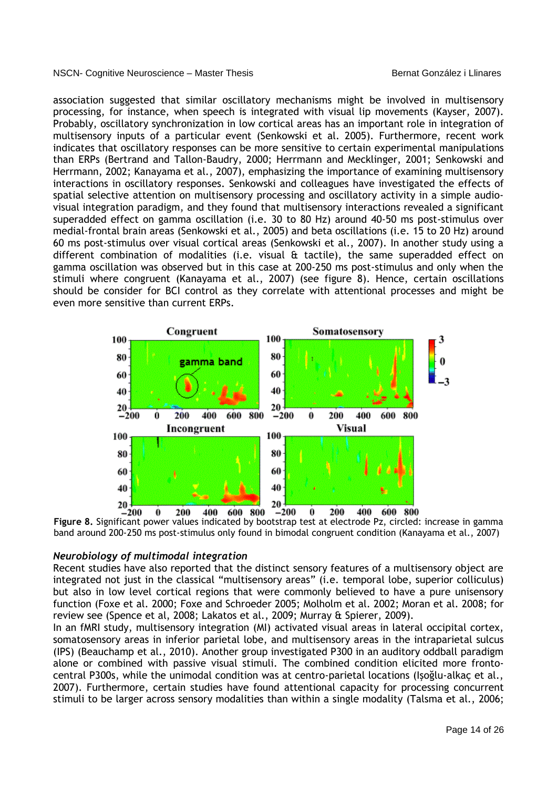association suggested that similar oscillatory mechanisms might be involved in multisensory processing, for instance, when speech is integrated with visual lip movements (Kayser, 2007). Probably, oscillatory synchronization in low cortical areas has an important role in integration of multisensory inputs of a particular event (Senkowski et al. 2005). Furthermore, recent work indicates that oscillatory responses can be more sensitive to certain experimental manipulations than ERPs (Bertrand and Tallon-Baudry, 2000; Herrmann and Mecklinger, 2001; Senkowski and Herrmann, 2002; Kanayama et al., 2007), emphasizing the importance of examining multisensory interactions in oscillatory responses. Senkowski and colleagues have investigated the effects of spatial selective attention on multisensory processing and oscillatory activity in a simple audiovisual integration paradigm, and they found that multisensory interactions revealed a significant superadded effect on gamma oscillation (i.e. 30 to 80 Hz) around 40-50 ms post-stimulus over medial-frontal brain areas (Senkowski et al., 2005) and beta oscillations (i.e. 15 to 20 Hz) around 60 ms post-stimulus over visual cortical areas (Senkowski et al., 2007). In another study using a different combination of modalities (i.e. visual & tactile), the same superadded effect on gamma oscillation was observed but in this case at 200-250 ms post-stimulus and only when the stimuli where congruent (Kanayama et al., 2007) (see figure 8). Hence, certain oscillations should be consider for BCI control as they correlate with attentional processes and might be even more sensitive than current ERPs.



**Figure 8.** Significant power values indicated by bootstrap test at electrode Pz, circled: increase in gamma band around 200-250 ms post-stimulus only found in bimodal congruent condition (Kanayama et al., 2007)

#### *Neurobiology of multimodal integration*

Recent studies have also reported that the distinct sensory features of a multisensory object are integrated not just in the classical "multisensory areas" (i.e. temporal lobe, superior colliculus) but also in low level cortical regions that were commonly believed to have a pure unisensory function (Foxe et al. 2000; Foxe and Schroeder 2005; Molholm et al. 2002; Moran et al. 2008; for review see (Spence et al, 2008; Lakatos et al., 2009; Murray & Spierer, 2009).

In an fMRI study, multisensory integration (MI) activated visual areas in lateral occipital cortex, somatosensory areas in inferior parietal lobe, and multisensory areas in the intraparietal sulcus (IPS) (Beauchamp et al., 2010). Another group investigated P300 in an auditory oddball paradigm alone or combined with passive visual stimuli. The combined condition elicited more frontocentral P300s, while the unimodal condition was at centro-parietal locations (Işoğlu-alkaç et al., 2007). Furthermore, certain studies have found attentional capacity for processing concurrent stimuli to be larger across sensory modalities than within a single modality (Talsma et al., 2006;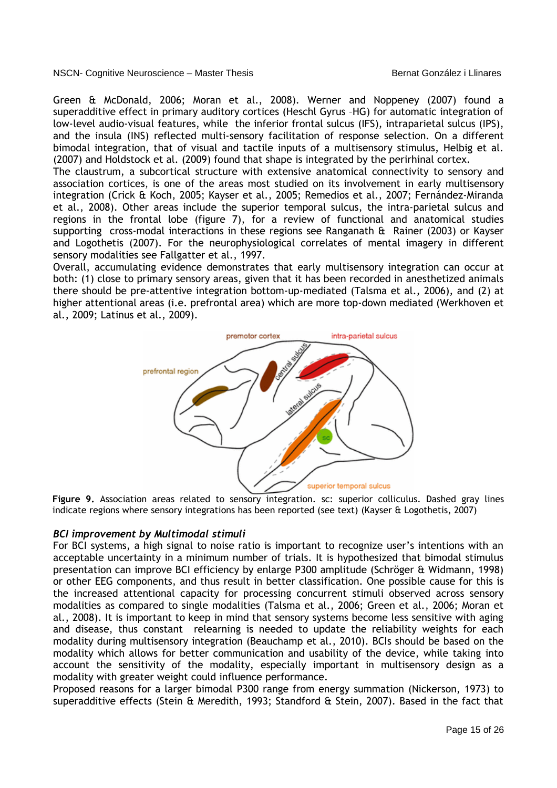Green & McDonald, 2006; Moran et al., 2008). Werner and Noppeney (2007) found a superadditive effect in primary auditory cortices (Heschl Gyrus –HG) for automatic integration of low-level audio-visual features, while the inferior frontal sulcus (IFS), intraparietal sulcus (IPS), and the insula (INS) reflected multi-sensory facilitation of response selection. On a different bimodal integration, that of visual and tactile inputs of a multisensory stimulus, Helbig et al. (2007) and Holdstock et al. (2009) found that shape is integrated by the perirhinal cortex.

The claustrum, a subcortical structure with extensive anatomical connectivity to sensory and association cortices, is one of the areas most studied on its involvement in early multisensory integration (Crick & Koch, 2005; Kayser et al., 2005; Remedios et al., 2007; Fernández-Miranda et al., 2008). Other areas include the superior temporal sulcus, the intra-parietal sulcus and regions in the frontal lobe (figure 7), for a review of functional and anatomical studies supporting cross-modal interactions in these regions see Ranganath & Rainer (2003) or Kayser and Logothetis (2007). For the neurophysiological correlates of mental imagery in different sensory modalities see Fallgatter et al., 1997.

Overall, accumulating evidence demonstrates that early multisensory integration can occur at both: (1) close to primary sensory areas, given that it has been recorded in anesthetized animals there should be pre-attentive integration bottom-up-mediated (Talsma et al., 2006), and (2) at higher attentional areas (i.e. prefrontal area) which are more top-down mediated (Werkhoven et al., 2009; Latinus et al., 2009).



**Figure 9.** Association areas related to sensory integration. sc: superior colliculus. Dashed gray lines indicate regions where sensory integrations has been reported (see text) (Kayser & Logothetis, 2007)

## *BCI improvement by Multimodal stimuli*

For BCI systems, a high signal to noise ratio is important to recognize user's intentions with an acceptable uncertainty in a minimum number of trials. It is hypothesized that bimodal stimulus presentation can improve BCI efficiency by enlarge P300 amplitude (Schröger & Widmann, 1998) or other EEG components, and thus result in better classification. One possible cause for this is the increased attentional capacity for processing concurrent stimuli observed across sensory modalities as compared to single modalities (Talsma et al., 2006; Green et al., 2006; Moran et al., 2008). It is important to keep in mind that sensory systems become less sensitive with aging and disease, thus constant relearning is needed to update the reliability weights for each modality during multisensory integration (Beauchamp et al., 2010). BCIs should be based on the modality which allows for better communication and usability of the device, while taking into account the sensitivity of the modality, especially important in multisensory design as a modality with greater weight could influence performance.

Proposed reasons for a larger bimodal P300 range from energy summation (Nickerson, 1973) to superadditive effects (Stein & Meredith, 1993; Standford & Stein, 2007). Based in the fact that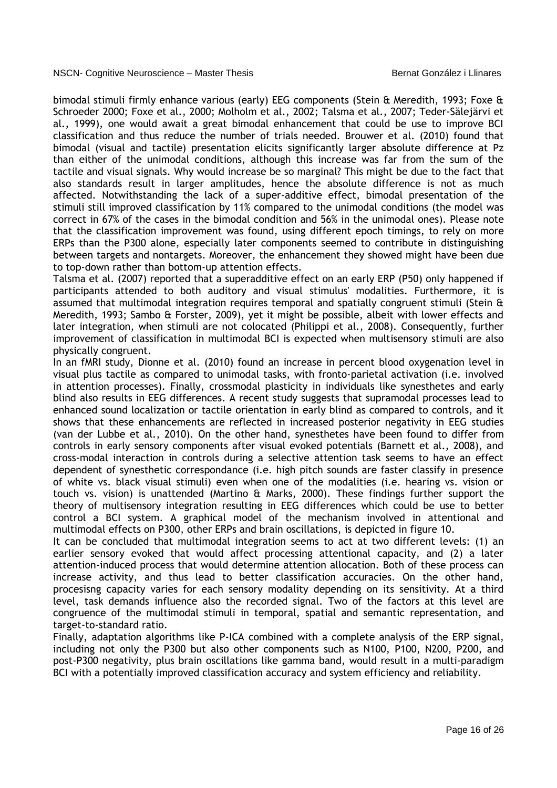bimodal stimuli firmly enhance various (early) EEG components (Stein & Meredith, 1993; Foxe & Schroeder 2000; Foxe et al., 2000; Molholm et al., 2002; Talsma et al., 2007; Teder-Sälejärvi et al., 1999), one would await a great bimodal enhancement that could be use to improve BCI classification and thus reduce the number of trials needed. Brouwer et al. (2010) found that bimodal (visual and tactile) presentation elicits significantly larger absolute difference at Pz than either of the unimodal conditions, although this increase was far from the sum of the tactile and visual signals. Why would increase be so marginal? This might be due to the fact that also standards result in larger amplitudes, hence the absolute difference is not as much affected. Notwithstanding the lack of a super-additive effect, bimodal presentation of the stimuli still improved classification by 11% compared to the unimodal conditions (the model was correct in 67% of the cases in the bimodal condition and 56% in the unimodal ones). Please note that the classification improvement was found, using different epoch timings, to rely on more ERPs than the P300 alone, especially later components seemed to contribute in distinguishing between targets and nontargets. Moreover, the enhancement they showed might have been due to top-down rather than bottom-up attention effects.

Talsma et al. (2007) reported that a superadditive effect on an early ERP (P50) only happened if participants attended to both auditory and visual stimulus' modalities. Furthermore, it is assumed that multimodal integration requires temporal and spatially congruent stimuli (Stein & Meredith, 1993; Sambo & Forster, 2009), yet it might be possible, albeit with lower effects and later integration, when stimuli are not colocated (Philippi et al., 2008). Consequently, further improvement of classification in multimodal BCI is expected when multisensory stimuli are also physically congruent.

In an fMRI study, Dionne et al. (2010) found an increase in percent blood oxygenation level in visual plus tactile as compared to unimodal tasks, with fronto-parietal activation (i.e. involved in attention processes). Finally, crossmodal plasticity in individuals like synesthetes and early blind also results in EEG differences. A recent study suggests that supramodal processes lead to enhanced sound localization or tactile orientation in early blind as compared to controls, and it shows that these enhancements are reflected in increased posterior negativity in EEG studies (van der Lubbe et al., 2010). On the other hand, synesthetes have been found to differ from controls in early sensory components after visual evoked potentials (Barnett et al., 2008), and cross-modal interaction in controls during a selective attention task seems to have an effect dependent of synesthetic correspondance (i.e. high pitch sounds are faster classify in presence of white vs. black visual stimuli) even when one of the modalities (i.e. hearing vs. vision or touch vs. vision) is unattended (Martino & Marks, 2000). These findings further support the theory of multisensory integration resulting in EEG differences which could be use to better control a BCI system. A graphical model of the mechanism involved in attentional and multimodal effects on P300, other ERPs and brain oscillations, is depicted in figure 10.

It can be concluded that multimodal integration seems to act at two different levels: (1) an earlier sensory evoked that would affect processing attentional capacity, and (2) a later attention-induced process that would determine attention allocation. Both of these process can increase activity, and thus lead to better classification accuracies. On the other hand, procesisng capacity varies for each sensory modality depending on its sensitivity. At a third level, task demands influence also the recorded signal. Two of the factors at this level are congruence of the multimodal stimuli in temporal, spatial and semantic representation, and target-to-standard ratio.

Finally, adaptation algorithms like P-ICA combined with a complete analysis of the ERP signal, including not only the P300 but also other components such as N100, P100, N200, P200, and post-P300 negativity, plus brain oscillations like gamma band, would result in a multi-paradigm BCI with a potentially improved classification accuracy and system efficiency and reliability.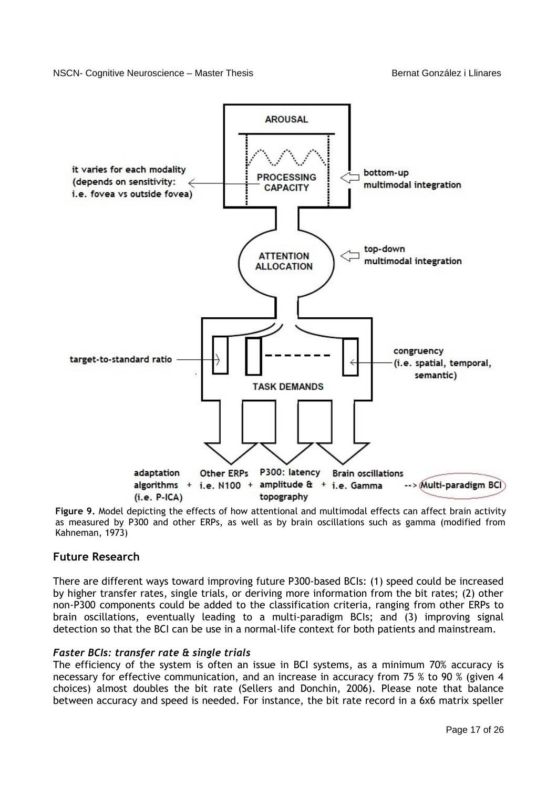

**Figure 9.** Model depicting the effects of how attentional and multimodal effects can affect brain activity as measured by P300 and other ERPs, as well as by brain oscillations such as gamma (modified from Kahneman, 1973)

# **Future Research**

There are different ways toward improving future P300-based BCIs: (1) speed could be increased by higher transfer rates, single trials, or deriving more information from the bit rates; (2) other non-P300 components could be added to the classification criteria, ranging from other ERPs to brain oscillations, eventually leading to a multi-paradigm BCIs; and (3) improving signal detection so that the BCI can be use in a normal-life context for both patients and mainstream.

## *Faster BCIs: transfer rate & single trials*

The efficiency of the system is often an issue in BCI systems, as a minimum 70% accuracy is necessary for effective communication, and an increase in accuracy from 75 % to 90 % (given 4 choices) almost doubles the bit rate (Sellers and Donchin, 2006). Please note that balance between accuracy and speed is needed. For instance, the bit rate record in a 6x6 matrix speller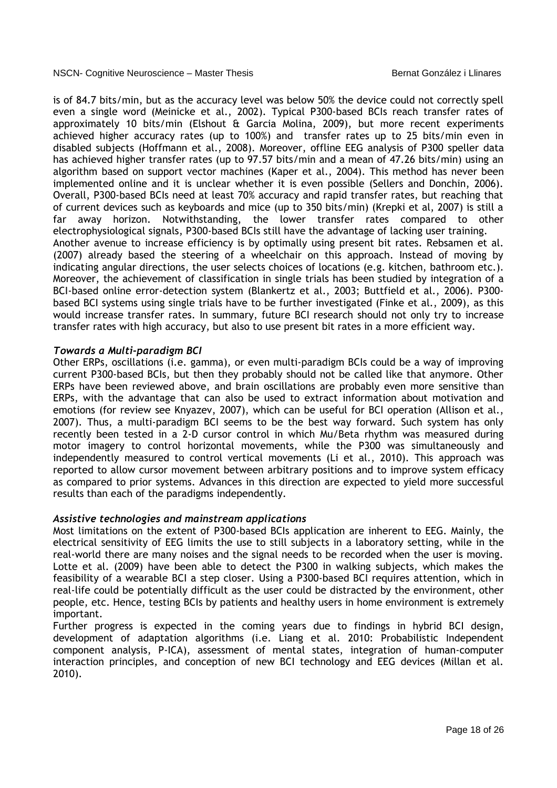is of 84.7 bits/min, but as the accuracy level was below 50% the device could not correctly spell even a single word (Meinicke et al., 2002). Typical P300-based BCIs reach transfer rates of approximately 10 bits/min (Elshout & Garcia Molina, 2009), but more recent experiments achieved higher accuracy rates (up to 100%) and transfer rates up to 25 bits/min even in disabled subjects (Hoffmann et al., 2008). Moreover, offline EEG analysis of P300 speller data has achieved higher transfer rates (up to 97.57 bits/min and a mean of 47.26 bits/min) using an algorithm based on support vector machines (Kaper et al., 2004). This method has never been implemented online and it is unclear whether it is even possible (Sellers and Donchin, 2006). Overall, P300-based BCIs need at least 70% accuracy and rapid transfer rates, but reaching that of current devices such as keyboards and mice (up to 350 bits/min) (Krepki et al, 2007) is still a far away horizon. Notwithstanding, the lower transfer rates compared to other electrophysiological signals, P300-based BCIs still have the advantage of lacking user training. Another avenue to increase efficiency is by optimally using present bit rates. Rebsamen et al. (2007) already based the steering of a wheelchair on this approach. Instead of moving by indicating angular directions, the user selects choices of locations (e.g. kitchen, bathroom etc.). Moreover, the achievement of classification in single trials has been studied by integration of a BCI-based online error-detection system (Blankertz et al., 2003; Buttfield et al., 2006). P300 based BCI systems using single trials have to be further investigated (Finke et al., 2009), as this would increase transfer rates. In summary, future BCI research should not only try to increase transfer rates with high accuracy, but also to use present bit rates in a more efficient way.

## *Towards a Multi-paradigm BCI*

Other ERPs, oscillations (i.e. gamma), or even multi-paradigm BCIs could be a way of improving current P300-based BCIs, but then they probably should not be called like that anymore. Other ERPs have been reviewed above, and brain oscillations are probably even more sensitive than ERPs, with the advantage that can also be used to extract information about motivation and emotions (for review see Knyazev, 2007), which can be useful for BCI operation (Allison et al., 2007). Thus, a multi-paradigm BCI seems to be the best way forward. Such system has only recently been tested in a 2-D cursor control in which Mu/Beta rhythm was measured during motor imagery to control horizontal movements, while the P300 was simultaneously and independently measured to control vertical movements (Li et al., 2010). This approach was reported to allow cursor movement between arbitrary positions and to improve system efficacy as compared to prior systems. Advances in this direction are expected to yield more successful results than each of the paradigms independently.

## *Assistive technologies and mainstream applications*

Most limitations on the extent of P300-based BCIs application are inherent to EEG. Mainly, the electrical sensitivity of EEG limits the use to still subjects in a laboratory setting, while in the real-world there are many noises and the signal needs to be recorded when the user is moving. Lotte et al. (2009) have been able to detect the P300 in walking subjects, which makes the feasibility of a wearable BCI a step closer. Using a P300-based BCI requires attention, which in real-life could be potentially difficult as the user could be distracted by the environment, other people, etc. Hence, testing BCIs by patients and healthy users in home environment is extremely important.

Further progress is expected in the coming years due to findings in hybrid BCI design, development of adaptation algorithms (i.e. Liang et al. 2010: Probabilistic Independent component analysis, P-ICA), assessment of mental states, integration of human-computer interaction principles, and conception of new BCI technology and EEG devices (Millan et al. 2010).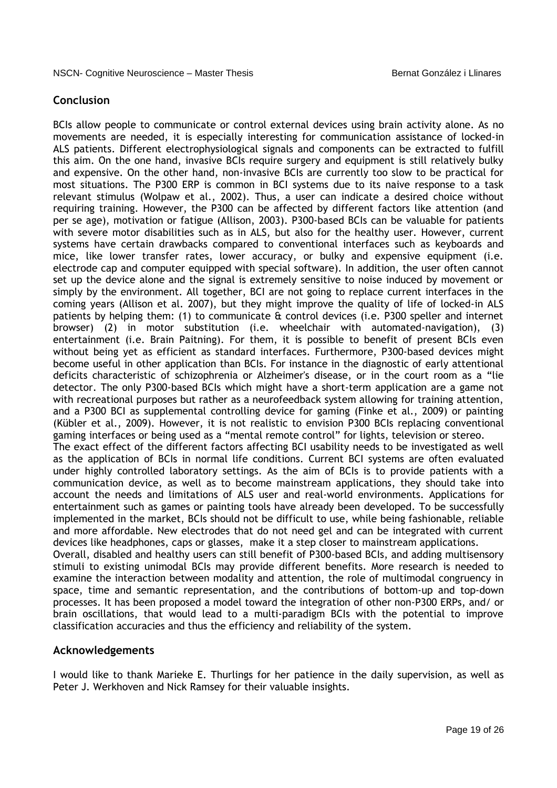# **Conclusion**

BCIs allow people to communicate or control external devices using brain activity alone. As no movements are needed, it is especially interesting for communication assistance of locked-in ALS patients. Different electrophysiological signals and components can be extracted to fulfill this aim. On the one hand, invasive BCIs require surgery and equipment is still relatively bulky and expensive. On the other hand, non-invasive BCIs are currently too slow to be practical for most situations. The P300 ERP is common in BCI systems due to its naive response to a task relevant stimulus (Wolpaw et al., 2002). Thus, a user can indicate a desired choice without requiring training. However, the P300 can be affected by different factors like attention (and per se age), motivation or fatigue (Allison, 2003). P300-based BCIs can be valuable for patients with severe motor disabilities such as in ALS, but also for the healthy user. However, current systems have certain drawbacks compared to conventional interfaces such as keyboards and mice, like lower transfer rates, lower accuracy, or bulky and expensive equipment (i.e. electrode cap and computer equipped with special software). In addition, the user often cannot set up the device alone and the signal is extremely sensitive to noise induced by movement or simply by the environment. All together, BCI are not going to replace current interfaces in the coming years (Allison et al. 2007), but they might improve the quality of life of locked-in ALS patients by helping them: (1) to communicate & control devices (i.e. P300 speller and internet browser) (2) in motor substitution (i.e. wheelchair with automated-navigation), (3) entertainment (i.e. Brain Paitning). For them, it is possible to benefit of present BCIs even without being yet as efficient as standard interfaces. Furthermore, P300-based devices might become useful in other application than BCIs. For instance in the diagnostic of early attentional deficits characteristic of schizophrenia or Alzheimer's disease, or in the court room as a "lie detector. The only P300-based BCIs which might have a short-term application are a game not with recreational purposes but rather as a neurofeedback system allowing for training attention, and a P300 BCI as supplemental controlling device for gaming (Finke et al., 2009) or painting (Kübler et al., 2009). However, it is not realistic to envision P300 BCIs replacing conventional gaming interfaces or being used as a "mental remote control" for lights, television or stereo. The exact effect of the different factors affecting BCI usability needs to be investigated as well as the application of BCIs in normal life conditions. Current BCI systems are often evaluated under highly controlled laboratory settings. As the aim of BCIs is to provide patients with a communication device, as well as to become mainstream applications, they should take into account the needs and limitations of ALS user and real-world environments. Applications for entertainment such as games or painting tools have already been developed. To be successfully implemented in the market, BCIs should not be difficult to use, while being fashionable, reliable and more affordable. New electrodes that do not need gel and can be integrated with current

devices like headphones, caps or glasses, make it a step closer to mainstream applications. Overall, disabled and healthy users can still benefit of P300-based BCIs, and adding multisensory stimuli to existing unimodal BCIs may provide different benefits. More research is needed to examine the interaction between modality and attention, the role of multimodal congruency in space, time and semantic representation, and the contributions of bottom-up and top-down processes. It has been proposed a model toward the integration of other non-P300 ERPs, and/ or brain oscillations, that would lead to a multi-paradigm BCIs with the potential to improve classification accuracies and thus the efficiency and reliability of the system.

## **Acknowledgements**

I would like to thank Marieke E. Thurlings for her patience in the daily supervision, as well as Peter J. Werkhoven and Nick Ramsey for their valuable insights.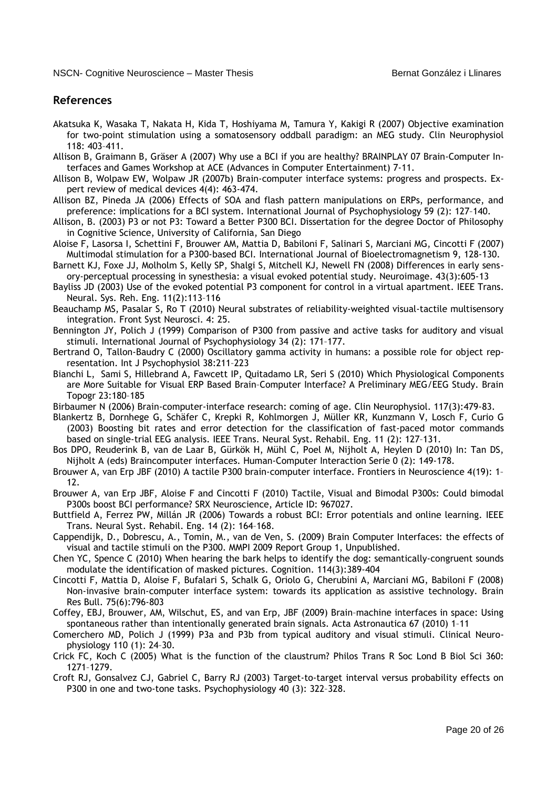## **References**

- Akatsuka K, Wasaka T, Nakata H, Kida T, Hoshiyama M, Tamura Y, Kakigi R (2007) Objective examination for two-point stimulation using a somatosensory oddball paradigm: an MEG study. Clin Neurophysiol 118: 403–411.
- Allison B, Graimann B, Gräser A (2007) Why use a BCI if you are healthy? BRAINPLAY 07 Brain-Computer Interfaces and Games Workshop at ACE (Advances in Computer Entertainment) 7-11.
- Allison B, Wolpaw EW, Wolpaw JR (2007b) Brain-computer interface systems: progress and prospects. Expert review of medical devices 4(4): 463-474.
- Allison BZ, Pineda JA (2006) Effects of SOA and flash pattern manipulations on ERPs, performance, and preference: implications for a BCI system. International Journal of Psychophysiology 59 (2): 127–140.
- Allison, B. (2003) P3 or not P3: Toward a Better P300 BCI. Dissertation for the degree Doctor of Philosophy in Cognitive Science, University of California, San Diego
- Aloise F, Lasorsa I, Schettini F, Brouwer AM, Mattia D, Babiloni F, Salinari S, Marciani MG, Cincotti F (2007) Multimodal stimulation for a P300-based BCI. International Journal of Bioelectromagnetism 9, 128-130.
- Barnett KJ, Foxe JJ, Molholm S, Kelly SP, Shalgi S, Mitchell KJ, Newell FN (2008) Differences in early sensory-perceptual processing in synesthesia: a visual evoked potential study. Neuroimage. 43(3):605-13
- Bayliss JD (2003) Use of the evoked potential P3 component for control in a virtual apartment. IEEE Trans. Neural. Sys. Reh. Eng. 11(2):113–116
- Beauchamp MS, Pasalar S, Ro T (2010) Neural substrates of reliability-weighted visual-tactile multisensory integration. Front Syst Neurosci. 4: 25.
- Bennington JY, Polich J (1999) Comparison of P300 from passive and active tasks for auditory and visual stimuli. International Journal of Psychophysiology 34 (2): 171–177.
- Bertrand O, Tallon-Baudry C (2000) Oscillatory gamma activity in humans: a possible role for object representation. Int J Psychophysiol 38:211–223
- Bianchi L, Sami S, Hillebrand A, Fawcett IP, Quitadamo LR, Seri S (2010) Which Physiological Components are More Suitable for Visual ERP Based Brain–Computer Interface? A Preliminary MEG/EEG Study. Brain Topogr 23:180–185
- Birbaumer N (2006) Brain-computer-interface research: coming of age. Clin Neurophysiol. 117(3):479-83.
- Blankertz B, Dornhege G, Schäfer C, Krepki R, Kohlmorgen J, Müller KR, Kunzmann V, Losch F, Curio G (2003) Boosting bit rates and error detection for the classification of fast-paced motor commands based on single-trial EEG analysis. IEEE Trans. Neural Syst. Rehabil. Eng. 11 (2): 127–131.
- Bos DPO, Reuderink B, van de Laar B, Gürkök H, Mühl C, Poel M, Nijholt A, Heylen D (2010) In: Tan DS, Nijholt A (eds) Braincomputer interfaces. Human-Computer Interaction Serie 0 (2): 149-178.
- Brouwer A, van Erp JBF (2010) A tactile P300 brain-computer interface. Frontiers in Neuroscience 4(19): 1– 12.
- Brouwer A, van Erp JBF, Aloise F and Cincotti F (2010) Tactile, Visual and Bimodal P300s: Could bimodal P300s boost BCI performance? SRX Neuroscience, Article ID: 967027.
- Buttfield A, Ferrez PW, Millán JR (2006) Towards a robust BCI: Error potentials and online learning. IEEE Trans. Neural Syst. Rehabil. Eng. 14 (2): 164–168.
- Cappendijk, D., Dobrescu, A., Tomin, M., van de Ven, S. (2009) Brain Computer Interfaces: the effects of visual and tactile stimuli on the P300. MMPI 2009 Report Group 1, Unpublished.
- Chen YC, Spence C (2010) When hearing the bark helps to identify the dog: semantically-congruent sounds modulate the identification of masked pictures. Cognition. 114(3):389-404
- Cincotti F, Mattia D, Aloise F, Bufalari S, Schalk G, Oriolo G, Cherubini A, Marciani MG, Babiloni F (2008) Non-invasive brain-computer interface system: towards its application as assistive technology. Brain Res Bull. 75(6):796-803
- Coffey, EBJ, Brouwer, AM, Wilschut, ES, and van Erp, JBF (2009) Brain–machine interfaces in space: Using spontaneous rather than intentionally generated brain signals. Acta Astronautica 67 (2010) 1–11
- Comerchero MD, Polich J (1999) P3a and P3b from typical auditory and visual stimuli. Clinical Neurophysiology 110 (1): 24–30.
- Crick FC, Koch C (2005) What is the function of the claustrum? Philos Trans R Soc Lond B Biol Sci 360: 1271–1279.
- Croft RJ, Gonsalvez CJ, Gabriel C, Barry RJ (2003) Target-to-target interval versus probability effects on P300 in one and two-tone tasks. Psychophysiology 40 (3): 322–328.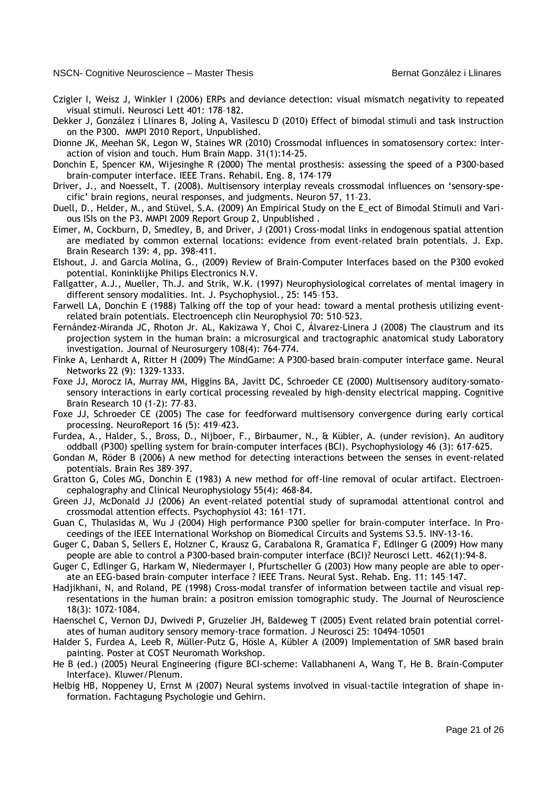- Czigler I, Weisz J, Winkler I (2006) ERPs and deviance detection: visual mismatch negativity to repeated visual stimuli. Neurosci Lett 401: 178–182.
- Dekker J, González i Llinares B, Joling A, Vasilescu D (2010) Effect of bimodal stimuli and task instruction on the P300. MMPI 2010 Report, Unpublished.
- Dionne JK, Meehan SK, Legon W, Staines WR (2010) Crossmodal influences in somatosensory cortex: Interaction of vision and touch. Hum Brain Mapp. 31(1):14-25.
- Donchin E, Spencer KM, Wijesinghe R (2000) The mental prosthesis: assessing the speed of a P300-based brain-computer interface. IEEE Trans. Rehabil. Eng. 8, 174–179
- Driver, J., and Noesselt, T. (2008). Multisensory interplay reveals crossmodal influences on 'sensory-specific' brain regions, neural responses, and judgments. Neuron 57, 11–23.
- Duell, D., Helder, M., and Stüvel, S.A. (2009) An Empirical Study on the E\_ect of Bimodal Stimuli and Various ISIs on the P3. MMPI 2009 Report Group 2, Unpublished .
- Eimer, M, Cockburn, D, Smedley, B, and Driver, J (2001) Cross-modal links in endogenous spatial attention are mediated by common external locations: evidence from event-related brain potentials. J. Exp. Brain Research 139: 4, pp. 398-411.
- Elshout, J. and Garcia Molina, G., (2009) Review of Brain-Computer Interfaces based on the P300 evoked potential. Koninklijke Philips Electronics N.V.
- Fallgatter, A.J., Mueller, Th.J. and Strik, W.K. (1997) Neurophysiological correlates of mental imagery in different sensory modalities. Int. J. Psychophysiol., 25: 145–153.
- Farwell LA, Donchin E (1988) Talking off the top of your head: toward a mental prothesis utilizing eventrelated brain potentials. Electroenceph clin Neurophysiol 70: 510–523.
- Fernández-Miranda JC, Rhoton Jr. AL, Kakizawa Y, Choi C, Álvarez-Linera J (2008) The claustrum and its projection system in the human brain: a microsurgical and tractographic anatomical study Laboratory investigation. Journal of Neurosurgery 108(4): 764-774.
- Finke A, Lenhardt A, Ritter H (2009) The MindGame: A P300-based brain–computer interface game. Neural Networks 22 (9): 1329-1333.
- Foxe JJ, Morocz IA, Murray MM, Higgins BA, Javitt DC, Schroeder CE (2000) Multisensory auditory-somatosensory interactions in early cortical processing revealed by high-density electrical mapping. Cognitive Brain Research 10 (1-2): 77–83.
- Foxe JJ, Schroeder CE (2005) The case for feedforward multisensory convergence during early cortical processing. NeuroReport 16 (5): 419–423.
- Furdea, A., Halder, S., Bross, D., Nijboer, F., Birbaumer, N., & Kübler, A. (under revision). An auditory oddball (P300) spelling system for brain-computer interfaces (BCI). Psychophysiology 46 (3): 617-625.
- Gondan M, Röder B (2006) A new method for detecting interactions between the senses in event-related potentials. Brain Res 389–397.
- Gratton G, Coles MG, Donchin E (1983) A new method for off-line removal of ocular artifact. Electroencephalography and Clinical Neurophysiology 55(4): 468-84.
- Green JJ, McDonald JJ (2006) An event-related potential study of supramodal attentional control and crossmodal attention effects. Psychophysiol 43: 161–171.
- Guan C, Thulasidas M, Wu J (2004) High performance P300 speller for brain-computer interface. In Proceedings of the IEEE International Workshop on Biomedical Circuits and Systems S3.5. INV-13-16.
- Guger C, Daban S, Sellers E, Holzner C, Krausz G, Carabalona R, Gramatica F, Edlinger G (2009) How many people are able to control a P300-based brain-computer interface (BCI)? Neurosci Lett. 462(1):94-8.
- Guger C, Edlinger G, Harkam W, Niedermayer I, Pfurtscheller G (2003) How many people are able to operate an EEG-based brain–computer interface ? IEEE Trans. Neural Syst. Rehab. Eng. 11: 145–147.
- Hadjikhani, N, and Roland, PE (1998) Cross-modal transfer of information between tactile and visual representations in the human brain: a positron emission tomographic study. The Journal of Neuroscience 18(3): 1072-1084.
- Haenschel C, Vernon DJ, Dwivedi P, Gruzelier JH, Baldeweg T (2005) Event related brain potential correlates of human auditory sensory memory-trace formation. J Neurosci 25: 10494–10501
- Halder S, Furdea A, Leeb R, Müller-Putz G, Hösle A, Kübler A (2009) Implementation of SMR based brain painting. Poster at COST Neuromath Workshop.
- He B (ed.) (2005) Neural Engineering (figure BCI-scheme: Vallabhaneni A, Wang T, He B. Brain-Computer Interface). Kluwer/Plenum.
- Helbig HB, Noppeney U, Ernst M (2007) Neural systems involved in visual-tactile integration of shape information. Fachtagung Psychologie und Gehirn.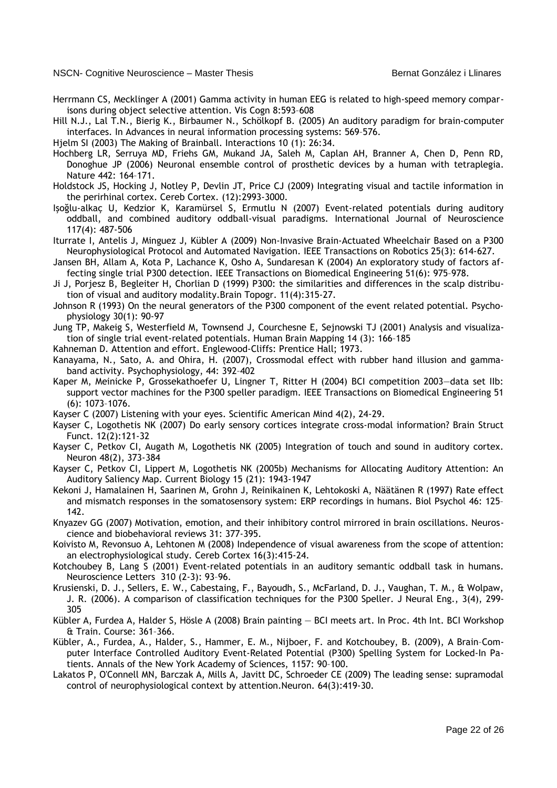- Herrmann CS, Mecklinger A (2001) Gamma activity in human EEG is related to high-speed memory comparisons during object selective attention. Vis Cogn 8:593–608
- Hill N.J., Lal T.N., Bierig K., Birbaumer N., Schölkopf B. (2005) An auditory paradigm for brain-computer interfaces. In Advances in neural information processing systems: 569–576.
- Hjelm SI (2003) The Making of Brainball. Interactions 10 (1): 26:34.
- Hochberg LR, Serruya MD, Friehs GM, Mukand JA, Saleh M, Caplan AH, Branner A, Chen D, Penn RD, Donoghue JP (2006) Neuronal ensemble control of prosthetic devices by a human with tetraplegia. Nature 442: 164–171.
- Holdstock JS, Hocking J, Notley P, Devlin JT, Price CJ (2009) Integrating visual and tactile information in the perirhinal cortex. Cereb Cortex. (12):2993-3000.
- Işoğlu-alkaç U, Kedzior K, Karamürsel S, Ermutlu N (2007) Event-related potentials during auditory oddball, and combined auditory oddball-visual paradigms. International Journal of Neuroscience 117(4): 487-506
- Iturrate I, Antelis J, Minguez J, Kübler A (2009) Non-Invasive Brain-Actuated Wheelchair Based on a P300 Neurophysiological Protocol and Automated Navigation. IEEE Transactions on Robotics 25(3): 614-627.
- Jansen BH, Allam A, Kota P, Lachance K, Osho A, Sundaresan K (2004) An exploratory study of factors affecting single trial P300 detection. IEEE Transactions on Biomedical Engineering 51(6): 975–978.
- Ji J, Porjesz B, Begleiter H, Chorlian D (1999) P300: the similarities and differences in the scalp distribution of visual and auditory modality.Brain Topogr. 11(4):315-27.
- Johnson R (1993) On the neural generators of the P300 component of the event related potential. Psychophysiology 30(1): 90-97
- Jung TP, Makeig S, Westerfield M, Townsend J, Courchesne E, Sejnowski TJ (2001) Analysis and visualization of single trial event-related potentials. Human Brain Mapping 14 (3): 166–185
- Kahneman D. Attention and effort. Englewood-Cliffs: Prentice Hall; 1973.
- Kanayama, N., Sato, A. and Ohira, H. (2007), Crossmodal effect with rubber hand illusion and gammaband activity. Psychophysiology, 44: 392–402
- Kaper M, Meinicke P, Grossekathoefer U, Lingner T, Ritter H (2004) BCI competition 2003—data set IIb: support vector machines for the P300 speller paradigm. IEEE Transactions on Biomedical Engineering 51 (6): 1073–1076.
- Kayser C (2007) Listening with your eyes. Scientific American Mind 4(2), 24-29.
- Kayser C, Logothetis NK (2007) Do early sensory cortices integrate cross-modal information? Brain Struct Funct. 12(2):121-32
- Kayser C, Petkov CI, Augath M, Logothetis NK (2005) Integration of touch and sound in auditory cortex. Neuron 48(2), 373-384
- Kayser C, Petkov CI, Lippert M, Logothetis NK (2005b) Mechanisms for Allocating Auditory Attention: An Auditory Saliency Map. Current Biology 15 (21): 1943-1947
- Kekoni J, Hamalainen H, Saarinen M, Grohn J, Reinikainen K, Lehtokoski A, Näätänen R (1997) Rate effect and mismatch responses in the somatosensory system: ERP recordings in humans. Biol Psychol 46: 125– 142.
- Knyazev GG (2007) Motivation, emotion, and their inhibitory control mirrored in brain oscillations. Neuroscience and biobehavioral reviews 31: 377-395.
- Koivisto M, Revonsuo A, Lehtonen M (2008) Independence of visual awareness from the scope of attention: an electrophysiological study. Cereb Cortex 16(3):415-24.
- Kotchoubey B, Lang S (2001) Event-related potentials in an auditory semantic oddball task in humans. Neuroscience Letters 310 (2-3): 93–96.
- Krusienski, D. J., Sellers, E. W., Cabestaing, F., Bayoudh, S., McFarland, D. J., Vaughan, T. M., & Wolpaw, J. R. (2006). A comparison of classification techniques for the P300 Speller. J Neural Eng., 3(4), 299- 305
- Kübler A, Furdea A, Halder S, Hösle A (2008) Brain painting BCI meets art. In Proc. 4th Int. BCI Workshop & Train. Course: 361–366.
- Kübler, A., Furdea, A., Halder, S., Hammer, E. M., Nijboer, F. and Kotchoubey, B. (2009), A Brain–Computer Interface Controlled Auditory Event-Related Potential (P300) Spelling System for Locked-In Patients. Annals of the New York Academy of Sciences, 1157: 90–100.
- Lakatos P, O'Connell MN, Barczak A, Mills A, Javitt DC, Schroeder CE (2009) The leading sense: supramodal control of neurophysiological context by attention.Neuron. 64(3):419-30.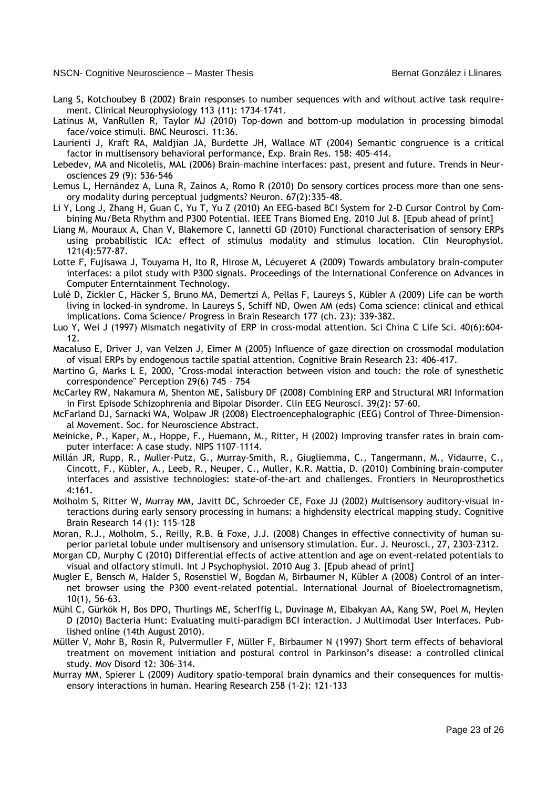- Lang S, Kotchoubey B (2002) Brain responses to number sequences with and without active task requirement. Clinical Neurophysiology 113 (11): 1734–1741.
- Latinus M, VanRullen R, Taylor MJ (2010) Top-down and bottom-up modulation in processing bimodal face/voice stimuli. BMC Neurosci. 11:36.
- Laurienti J, Kraft RA, Maldjian JA, Burdette JH, Wallace MT (2004) Semantic congruence is a critical factor in multisensory behavioral performance, Exp. Brain Res. 158: 405–414.
- Lebedev, MA and Nicolelis, MAL (2006) Brain–machine interfaces: past, present and future. Trends in Neurosciences 29 (9): 536-546
- Lemus L, Hernández A, Luna R, Zainos A, Romo R (2010) Do sensory cortices process more than one sensory modality during perceptual judgments? Neuron. 67(2):335-48.
- Li Y, Long J, Zhang H, Guan C, Yu T, Yu Z (2010) An EEG-based BCI System for 2-D Cursor Control by Combining Mu/Beta Rhythm and P300 Potential. IEEE Trans Biomed Eng. 2010 Jul 8. [Epub ahead of print]
- Liang M, Mouraux A, Chan V, Blakemore C, Iannetti GD (2010) Functional characterisation of sensory ERPs using probabilistic ICA: effect of stimulus modality and stimulus location. Clin Neurophysiol. 121(4):577-87.
- Lotte F, Fujisawa J, Touyama H, Ito R, Hirose M, Lécuyeret A (2009) Towards ambulatory brain-computer interfaces: a pilot study with P300 signals. Proceedings of the International Conference on Advances in Computer Enterntainment Technology.
- Lulé D, Zickler C, Häcker S, Bruno MA, Demertzi A, Pellas F, Laureys S, Kübler A (2009) Life can be worth living in locked-in syndrome. In Laureys S, Schiff ND, Owen AM (eds) Coma science: clinical and ethical implications. Coma Science/ Progress in Brain Research 177 (ch. 23): 339-382.
- Luo Y, Wei J (1997) Mismatch negativity of ERP in cross-modal attention. Sci China C Life Sci. 40(6):604- 12.
- Macaluso E, Driver J, van Velzen J, Eimer M (2005) Influence of gaze direction on crossmodal modulation of visual ERPs by endogenous tactile spatial attention. Cognitive Brain Research 23: 406-417.
- Martino G, Marks L E, 2000, "Cross-modal interaction between vision and touch: the role of synesthetic correspondence" Perception 29(6) 745 – 754
- McCarley RW, Nakamura M, Shenton ME, Salisbury DF (2008) Combining ERP and Structural MRI Information in First Episode Schizophrenia and Bipolar Disorder. Clin EEG Neurosci. 39(2): 57–60.
- McFarland DJ, Sarnacki WA, Wolpaw JR (2008) Electroencephalographic (EEG) Control of Three-Dimensional Movement. Soc. for Neuroscience Abstract.
- Meinicke, P., Kaper, M., Hoppe, F., Huemann, M., Ritter, H (2002) Improving transfer rates in brain computer interface: A case study. NIPS 1107–1114.
- Millán JR, Rupp, R., Muller-Putz, G., Murray-Smith, R., Giugliemma, C., Tangermann, M., Vidaurre, C., Cincott, F., Kübler, A., Leeb, R., Neuper, C., Muller, K.R. Mattia, D. (2010) Combining brain-computer interfaces and assistive technologies: state-of-the-art and challenges. Frontiers in Neuroprosthetics 4:161.
- Molholm S, Ritter W, Murray MM, Javitt DC, Schroeder CE, Foxe JJ (2002) Multisensory auditory-visual interactions during early sensory processing in humans: a highdensity electrical mapping study. Cognitive Brain Research 14 (1): 115–128
- Moran, R.J., Molholm, S., Reilly, R.B. & Foxe, J.J. (2008) Changes in effective connectivity of human superior parietal lobule under multisensory and unisensory stimulation. Eur. J. Neurosci., 27, 2303–2312.
- Morgan CD, Murphy C (2010) Differential effects of active attention and age on event-related potentials to visual and olfactory stimuli. Int J Psychophysiol. 2010 Aug 3. [Epub ahead of print]
- Mugler E, Bensch M, Halder S, Rosenstiel W, Bogdan M, Birbaumer N, Kübler A (2008) Control of an internet browser using the P300 event-related potential. International Journal of Bioelectromagnetism, 10(1), 56-63.
- Mühl C, Gürkök H, Bos DPO, Thurlings ME, Scherffig L, Duvinage M, Elbakyan AA, Kang SW, Poel M, Heylen D (2010) Bacteria Hunt: Evaluating multi-paradigm BCI interaction. J Multimodal User Interfaces. Published online (14th August 2010).
- Müller V, Mohr B, Rosin R, Pulvermuller F, Müller F, Birbaumer N (1997) Short term effects of behavioral treatment on movement initiation and postural control in Parkinson's disease: a controlled clinical study. Mov Disord 12: 306–314.
- Murray MM, Spierer L (2009) Auditory spatio-temporal brain dynamics and their consequences for multisensory interactions in human. Hearing Research 258 (1-2): 121-133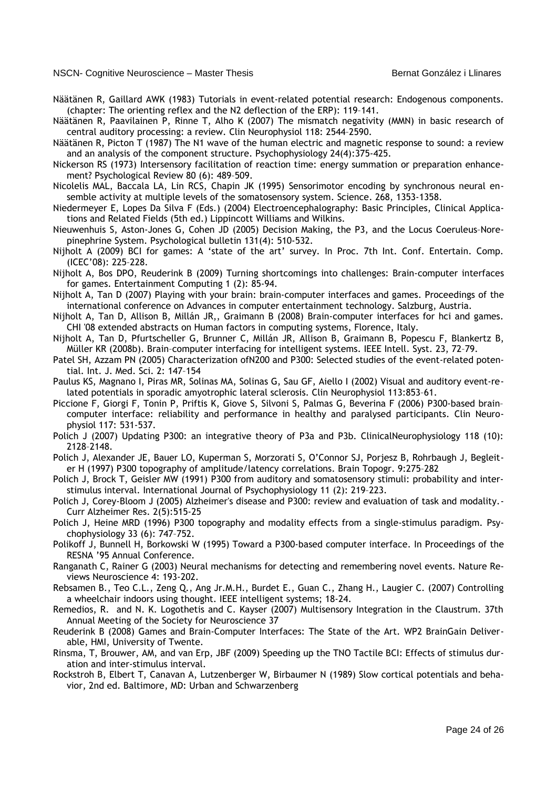- Näätänen R, Gaillard AWK (1983) Tutorials in event-related potential research: Endogenous components. (chapter: The orienting reflex and the N2 deflection of the ERP): 119–141.
- Näätänen R, Paavilainen P, Rinne T, Alho K (2007) The mismatch negativity (MMN) in basic research of central auditory processing: a review. Clin Neurophysiol 118: 2544–2590.
- Näätänen R, Picton T (1987) The N1 wave of the human electric and magnetic response to sound: a review and an analysis of the component structure. Psychophysiology 24(4):375-425.
- Nickerson RS (1973) Intersensory facilitation of reaction time: energy summation or preparation enhancement? Psychological Review 80 (6): 489–509.
- Nicolelis MAL, Baccala LA, Lin RCS, Chapin JK (1995) Sensorimotor encoding by synchronous neural ensemble activity at multiple levels of the somatosensory system. Science. 268, 1353-1358.
- Niedermeyer E, Lopes Da Silva F (Eds.) (2004) Electroencephalography: Basic Principles, Clinical Applications and Related Fields (5th ed.) Lippincott Williams and Wilkins.
- Nieuwenhuis S, Aston-Jones G, Cohen JD (2005) Decision Making, the P3, and the Locus Coeruleus–Norepinephrine System. Psychological bulletin 131(4): 510-532.
- Nijholt A (2009) BCI for games: A 'state of the art' survey. In Proc. 7th Int. Conf. Entertain. Comp. (ICEC'08): 225–228.
- Nijholt A, Bos DPO, Reuderink B (2009) Turning shortcomings into challenges: Brain-computer interfaces for games. Entertainment Computing 1 (2): 85-94.
- Nijholt A, Tan D (2007) Playing with your brain: brain-computer interfaces and games. Proceedings of the international conference on Advances in computer entertainment technology. Salzburg, Austria.
- Nijholt A, Tan D, Allison B, Millán JR,, Graimann B (2008) Brain-computer interfaces for hci and games. CHI '08 extended abstracts on Human factors in computing systems, Florence, Italy.
- Nijholt A, Tan D, Pfurtscheller G, Brunner C, Millán JR, Allison B, Graimann B, Popescu F, Blankertz B, Müller KR (2008b). Brain–computer interfacing for intelligent systems. IEEE Intell. Syst. 23, 72–79.
- Patel SH, Azzam PN (2005) Characterization ofN200 and P300: Selected studies of the event-related potential. Int. J. Med. Sci. 2: 147–154
- Paulus KS, Magnano I, Piras MR, Solinas MA, Solinas G, Sau GF, Aiello I (2002) Visual and auditory event-related potentials in sporadic amyotrophic lateral sclerosis. Clin Neurophysiol 113:853–61.
- Piccione F, Giorgi F, Tonin P, Priftis K, Giove S, Silvoni S, Palmas G, Beverina F (2006) P300-based brain– computer interface: reliability and performance in healthy and paralysed participants. Clin Neurophysiol 117: 531-537.
- Polich J (2007) Updating P300: an integrative theory of P3a and P3b. ClinicalNeurophysiology 118 (10): 2128–2148.
- Polich J, Alexander JE, Bauer LO, Kuperman S, Morzorati S, O'Connor SJ, Porjesz B, Rohrbaugh J, Begleiter H (1997) P300 topography of amplitude/latency correlations. Brain Topogr. 9:275–282
- Polich J, Brock T, Geisler MW (1991) P300 from auditory and somatosensory stimuli: probability and interstimulus interval. International Journal of Psychophysiology 11 (2): 219–223.
- Polich J, Corey-Bloom J (2005) Alzheimer's disease and P300: review and evaluation of task and modality.- Curr Alzheimer Res. 2(5):515-25
- Polich J, Heine MRD (1996) P300 topography and modality effects from a single-stimulus paradigm. Psychophysiology 33 (6): 747–752.
- Polikoff J, Bunnell H, Borkowski W (1995) Toward a P300-based computer interface. In Proceedings of the RESNA '95 Annual Conference.
- Ranganath C, Rainer G (2003) Neural mechanisms for detecting and remembering novel events. Nature Reviews Neuroscience 4: 193-202.
- Rebsamen B., Teo C.L., Zeng Q., Ang Jr.M.H., Burdet E., Guan C., Zhang H., Laugier C. (2007) Controlling a wheelchair indoors using thought. IEEE intelligent systems; 18-24.
- Remedios, R. and N. K. Logothetis and C. Kayser (2007) Multisensory Integration in the Claustrum. 37th Annual Meeting of the Society for Neuroscience 37
- Reuderink B (2008) Games and Brain-Computer Interfaces: The State of the Art. WP2 BrainGain Deliverable, HMI, University of Twente.
- Rinsma, T, Brouwer, AM, and van Erp, JBF (2009) Speeding up the TNO Tactile BCI: Effects of stimulus duration and inter-stimulus interval.
- Rockstroh B, Elbert T, Canavan A, Lutzenberger W, Birbaumer N (1989) Slow cortical potentials and behavior, 2nd ed. Baltimore, MD: Urban and Schwarzenberg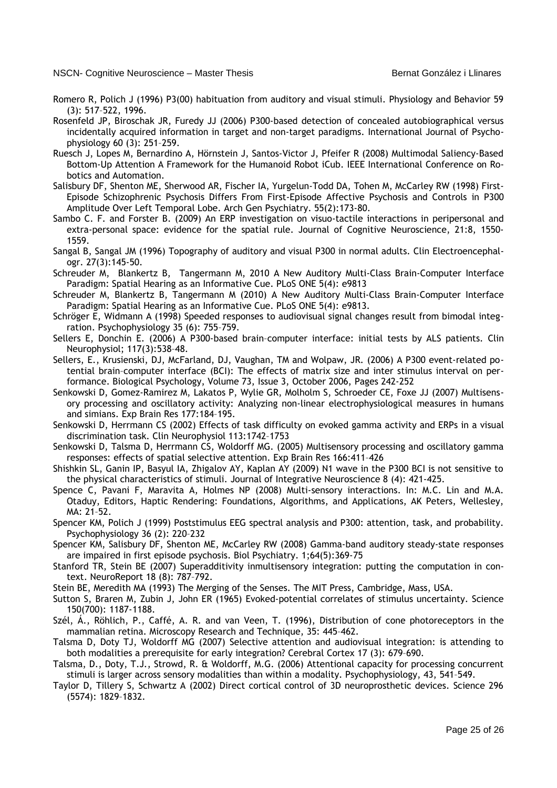- Romero R, Polich J (1996) P3(00) habituation from auditory and visual stimuli. Physiology and Behavior 59 (3): 517–522, 1996.
- Rosenfeld JP, Biroschak JR, Furedy JJ (2006) P300-based detection of concealed autobiographical versus incidentally acquired information in target and non-target paradigms. International Journal of Psychophysiology 60 (3): 251–259.
- Ruesch J, Lopes M, Bernardino A, Hörnstein J, Santos-Victor J, Pfeifer R (2008) Multimodal Saliency-Based Bottom-Up Attention A Framework for the Humanoid Robot iCub. IEEE International Conference on Robotics and Automation.
- Salisbury DF, Shenton ME, Sherwood AR, Fischer IA, Yurgelun-Todd DA, Tohen M, McCarley RW (1998) First-Episode Schizophrenic Psychosis Differs From First-Episode Affective Psychosis and Controls in P300 Amplitude Over Left Temporal Lobe. Arch Gen Psychiatry. 55(2):173-80.
- Sambo C. F. and Forster B. (2009) An ERP investigation on visuo-tactile interactions in peripersonal and extra-personal space: evidence for the spatial rule. Journal of Cognitive Neuroscience, 21:8, 1550- 1559.
- Sangal B, Sangal JM (1996) Topography of auditory and visual P300 in normal adults. Clin Electroencephalogr. 27(3):145-50.
- Schreuder M, Blankertz B, Tangermann M, 2010 A New Auditory Multi-Class Brain-Computer Interface Paradigm: Spatial Hearing as an Informative Cue. PLoS ONE 5(4): e9813
- Schreuder M, Blankertz B, Tangermann M (2010) A New Auditory Multi-Class Brain-Computer Interface Paradigm: Spatial Hearing as an Informative Cue. PLoS ONE 5(4): e9813.
- Schröger E, Widmann A (1998) Speeded responses to audiovisual signal changes result from bimodal integration. Psychophysiology 35 (6): 755–759.
- Sellers E, Donchin E. (2006) A P300-based brain–computer interface: initial tests by ALS patients. Clin Neurophysiol; 117(3):538–48.
- Sellers, E., Krusienski, DJ, McFarland, DJ, Vaughan, TM and Wolpaw, JR. (2006) A P300 event-related potential brain–computer interface (BCI): The effects of matrix size and inter stimulus interval on performance. Biological Psychology, Volume 73, Issue 3, October 2006, Pages 242-252
- Senkowski D, Gomez-Ramirez M, Lakatos P, Wylie GR, Molholm S, Schroeder CE, Foxe JJ (2007) Multisensory processing and oscillatory activity: Analyzing non-linear electrophysiological measures in humans and simians. Exp Brain Res 177:184–195.
- Senkowski D, Herrmann CS (2002) Effects of task difficulty on evoked gamma activity and ERPs in a visual discrimination task. Clin Neurophysiol 113:1742–1753
- Senkowski D, Talsma D, Herrmann CS, Woldorff MG. (2005) Multisensory processing and oscillatory gamma responses: effects of spatial selective attention. Exp Brain Res 166:411–426
- Shishkin SL, Ganin IP, Basyul IA, Zhigalov AY, Kaplan AY (2009) N1 wave in the P300 BCI is not sensitive to the physical characteristics of stimuli. Journal of Integrative Neuroscience 8 (4): 421-425.
- Spence C, Pavani F, Maravita A, Holmes NP (2008) Multi-sensory interactions. In: M.C. Lin and M.A. Otaduy, Editors, Haptic Rendering: Foundations, Algorithms, and Applications, AK Peters, Wellesley, MA: 21–52.
- Spencer KM, Polich J (1999) Poststimulus EEG spectral analysis and P300: attention, task, and probability. Psychophysiology 36 (2): 220–232
- Spencer KM, Salisbury DF, Shenton ME, McCarley RW (2008) Gamma-band auditory steady-state responses are impaired in first episode psychosis. Biol Psychiatry. 1;64(5):369-75
- Stanford TR, Stein BE (2007) Superadditivity inmultisensory integration: putting the computation in context. NeuroReport 18 (8): 787–792.
- Stein BE, Meredith MA (1993) The Merging of the Senses. The MIT Press, Cambridge, Mass, USA.
- Sutton S, Braren M, Zubin J, John ER (1965) Evoked-potential correlates of stimulus uncertainty. Science 150(700): 1187-1188.
- Szél, Á., Röhlich, P., Caffé, A. R. and van Veen, T. (1996), Distribution of cone photoreceptors in the mammalian retina. Microscopy Research and Technique, 35: 445–462.
- Talsma D, Doty TJ, Woldorff MG (2007) Selective attention and audiovisual integration: is attending to both modalities a prerequisite for early integration? Cerebral Cortex 17 (3): 679–690.
- Talsma, D., Doty, T.J., Strowd, R. & Woldorff, M.G. (2006) Attentional capacity for processing concurrent stimuli is larger across sensory modalities than within a modality. Psychophysiology, 43, 541–549.
- Taylor D, Tillery S, Schwartz A (2002) Direct cortical control of 3D neuroprosthetic devices. Science 296 (5574): 1829–1832.